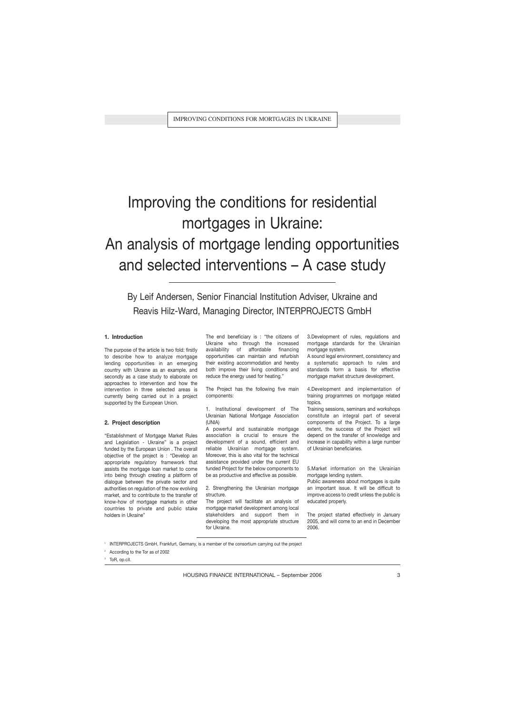# Improving the conditions for residential mortgages in Ukraine:

## An analysis of mortgage lending opportunities and selected interventions – A case study

By Leif Andersen, Senior Financial Institution Adviser, Ukraine and Reavis Hilz-Ward, Managing Director, INTERPROJECTS GmbH

## **1. Introduction**

The purpose of the article is two fold: firstly to describe how to analyze mortgage lending opportunities in an emerging country with Ukraine as an example, and secondly as a case study to elaborate on approaches to intervention and how the intervention in three selected areas is currently being carried out in a project supported by the European Union.

## **2. Project description**

"Establishment of Mortgage Market Rules and Legislation - Ukraine" is a project funded by the European Union . The overall objective of the project is : "Develop an appropriate regulatory framework that assists the mortgage loan market to come into being through creating a platform of dialogue between the private sector and authorities on regulation of the now evolving market, and to contribute to the transfer of know-how of mortgage markets in other countries to private and public stake holders in Ukraine"

The end beneficiary is : "the citizens of Ukraine who through the increased availability of affordable financing opportunities can maintain and refurbish their existing accommodation and hereby both improve their living conditions and reduce the energy used for heating."

The Project has the following five main components:

1. Institutional development of The Ukrainian National Mortgage Association (UNIA)

A powerful and sustainable mortgage association is crucial to ensure the development of a sound, efficient and reliable Ukrainian mortgage system. Moreover, this is also vital for the technical assistance provided under the current EU funded Project for the below components to be as productive and effective as possible.

2. Strengthening the Ukrainian mortgage structure.

The project will facilitate an analysis of mortgage market development among local stakeholders and support them in developing the most appropriate structure for Ukraine.

3.Development of rules, regulations and mortgage standards for the Ukrainian mortgage system.

A sound legal environment, consistency and a systematic approach to rules and standards form a basis for effective mortgage market structure development.

4.Development and implementation of training programmes on mortgage related topics.

Training sessions, seminars and workshops constitute an integral part of several components of the Project. To a large extent, the success of the Project will depend on the transfer of knowledge and increase in capability within a large number of Ukrainian beneficiaries.

5.Market information on the Ukrainian mortgage lending system.

Public awareness about mortgages is quite an important issue. It will be difficult to improve access to credit unless the public is educated properly.

The project started effectively in January 2005, and will come to an end in December 2006.

1 INTERPROJECTS GmbH, Frankfurt, Germany, is a member of the consortium carrying out the project

<sup>2</sup> According to the Tor as of 2002

<sup>3</sup> ToR, op.cit.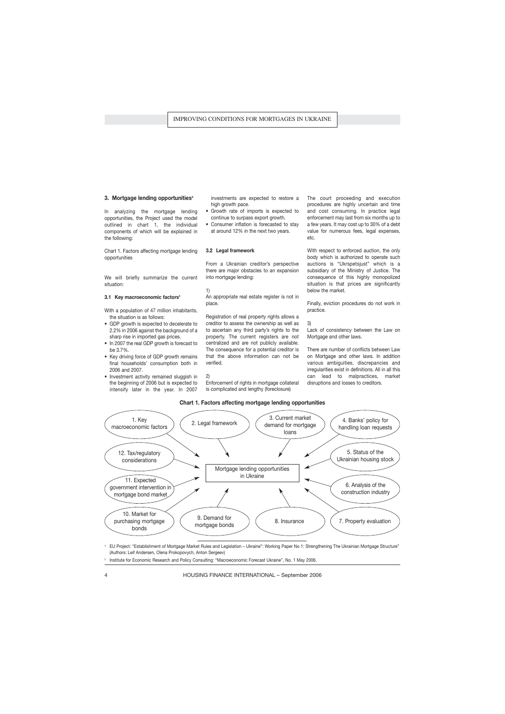## **3. Mortgage lending opportunities<sup>4</sup>**

In analyzing the mortgage lending opportunities, the Project used the model outlined in chart 1, the individual components of which will be explained in the following:

Chart 1. Factors affecting mortgage lending opportunities

We will briefly summarize the current situation:

## **3.1 Key macroeconomic factors<sup>5</sup>**

With a population of 47 million inhabitants, the situation is as follows:

- GDP growth is expected to decelerate to 2.2% in 2006 against the background of a sharp rise in imported gas prices.
- In 2007 the real GDP growth is forecast to be 3.7%.
- Key driving force of GDP growth remains final households' consumption both in 2006 and 2007.
- Investment activity remained sluggish in the beginning of 2006 but is expected to intensify later in the year. In 2007

investments are expected to restore a high growth pace.

- Growth rate of imports is expected to continue to surpass export growth.
- Consumer inflation is forecasted to stay at around 12% in the next two years.

## **3.2 Legal framework**

From a Ukrainian creditor's perspective there are major obstacles to an expansion into mortgage lending:

1)

An appropriate real estate register is not in place.

Registration of real property rights allows a creditor to assess the ownership as well as to ascertain any third party's rights to the property. The current registers are not centralized and are not publicly available. The consequence for a potential creditor is that the above information can not be verified.

2)

Enforcement of rights in mortgage collateral is complicated and lengthy (foreclosure)

The court proceeding and execution procedures are highly uncertain and time and cost consuming. In practice legal enforcement may last from six months up to a few years. It may cost up to 30% of a debt value for numerous fees, legal expenses, etc.

With respect to enforced auction, the only body which is authorized to operate such auctions is "Ukrspetsjust" which is a subsidiary of the Ministry of Justice. The consequence of this highly monopolized situation is that prices are significantly below the market.

Finally, eviction procedures do not work in practice.

3)

Lack of consistency between the Law on Mortgage and other laws.

There are number of conflicts between Law on Mortgage and other laws. In addition various ambiguities, discrepancies and irregularities exist in definitions. All in all this can lead to malpractices, market disruptions and losses to creditors.

## **Chart 1. Factors affecting mortgage lending opportunities**



<sup>4</sup> EU Project: "Establishment of Mortgage Market Rules and Legislation – Ukraine": Working Paper No 1: Strengthening The Ukrainian Mortgage Structure" (Authors: Leif Andersen, Olena Prokopovych, Anton Sergeev)

5 Institute for Economic Research and Policy Consulting: "Macroeconomic Forecast Ukraine", No. 1 May 2006.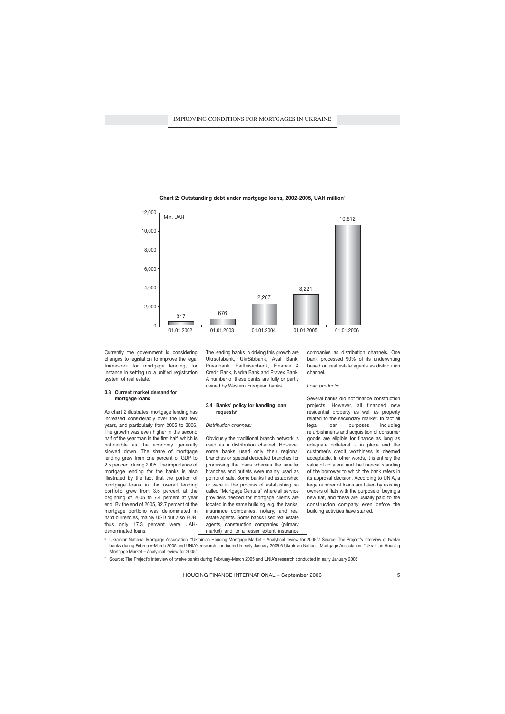

**Chart 2: Outstanding debt under mortgage loans, 2002-2005, UAH million<sup>6</sup>**

Currently the government is considering changes to legislation to improve the legal framework for mortgage lending, for instance in setting up a unified registration system of real estate.

## **3.3 Current market demand for mortgage loans**

As chart 2 illustrates, mortgage lending has increased considerably over the last few years, and particularly from 2005 to 2006. The growth was even higher in the second half of the year than in the first half, which is noticeable as the economy generally slowed down. The share of mortgage lending grew from one percent of GDP to 2.5 per cent during 2005. The importance of mortgage lending for the banks is also illustrated by the fact that the portion of mortgage loans in the overall lending portfolio grew from 3.6 percent at the beginning of 2005 to 7.4 percent at year end. By the end of 2005, 82.7 percent of the mortgage portfolio was denominated in hard currencies, mainly USD but also EUR, thus only 17.3 percent were UAHdenominated loans.

The leading banks in driving this growth are Ukrsotsbank, UkrSibbank, Aval Bank, Privatbank, Raiffeisenbank, Finance & Credit Bank, Nadra Bank and Pravex Bank. A number of these banks are fully or partly owned by Western European banks.

## **3.4 Banks' policy for handling loan requests<sup>7</sup>**

#### *Distribution channels:*

Obviously the traditional branch network is used as a distribution channel. However, some banks used only their regional branches or special dedicated branches for processing the loans whereas the smaller branches and outlets were mainly used as points of sale. Some banks had established or were in the process of establishing so called "Mortgage Centers" where all service providers needed for mortgage clients are located in the same building, e.g. the banks, insurance companies, notary, and real estate agents. Some banks used real estate agents, construction companies (primary market) and to a lesser extent insurance companies as distribution channels. One bank processed 90% of its underwriting based on real estate agents as distribution channel.

#### *Loan products:*

Several banks did not finance construction projects. However, all financed new residential property as well as property related to the secondary market. In fact all legal loan purposes including refurbishments and acquisition of consumer goods are eligible for finance as long as adequate collateral is in place and the customer's credit worthiness is deemed acceptable. In other words, it is entirely the value of collateral and the financial standing of the borrower to which the bank refers in its approval decision. According to UNIA, a large number of loans are taken by existing owners of flats with the purpose of buying a new flat, and these are usually paid to the construction company even before the building activities have started.

<sup>6</sup> Ukrainian National Mortgage Association: "Ukrainian Housing Mortgage Market – Analytical review for 2005"7 Source: The Project's interview of twelve banks during February-March 2005 and UNIA's research conducted in early January 2006.6 Ukrainian National Mortgage Association: "Ukrainian Housing Mortgage Market – Analytical review for 2005"

<sup>7</sup> Source: The Project's interview of twelve banks during February-March 2005 and UNIA's research conducted in early January 2006.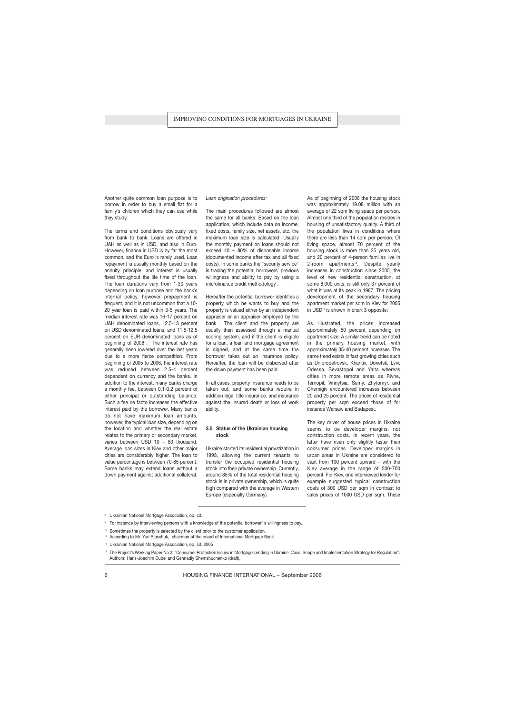Another quite common loan purpose is to borrow in order to buy a small flat for a family's children which they can use while they study.

The terms and conditions obviously vary from bank to bank. Loans are offered in UAH as well as in USD, and also in Euro. However, finance in USD is by far the most common, and the Euro is rarely used. Loan repayment is usually monthly based on the annuity principle, and interest is usually fixed throughout the life time of the loan. The loan durations vary from 1-30 years depending on loan purpose and the bank's internal policy, however prepayment is frequent, and it is not uncommon that a 10- 20 year loan is paid within 3-5 years. The median interest rate was 16-17 percent on UAH denominated loans, 12.5-13 percent on USD denominated loans, and 11.5-12.5 percent on EUR denominated loans as of beginning of 2006 . The interest rate has generally been lowered over the last years due to a more fierce competition. From beginning of 2005 to 2006, the interest rate was reduced between 2.5-4 percent dependent on currency and the banks. In addition to the interest, many banks charge a monthly fee, between 0.1-0.2 percent of either principal or outstanding balance. Such a fee de facto increases the effective interest paid by the borrower. Many banks do not have maximum loan amounts, however, the typical loan size, depending on the location and whether the real estate relates to the primary or secondary market, varies between USD 10 – 80 thousand. Average loan sizes in Kiev and other major cities are considerably higher. The loan to value percentage is between 70-85 percent. Some banks may extend loans without a down payment against additional collateral.

#### *Loan origination procedures:*

The main procedures followed are almost the same for all banks: Based on the loan application, which include data on income, fixed costs, family size, net assets, etc. the maximum loan size is calculated. Usually the monthly payment on loans should not exceed 40 – 80% of disposable income (documented income after tax and all fixed costs). In some banks the "security service" is tracing the potential borrowers' previous willingness and ability to pay by using a microfinance credit methodology .

Hereafter the potential borrower identifies a property which he wants to buy and the property is valued either by an independent appraiser or an appraiser employed by the bank . The client and the property are usually then assessed through a manual scoring system, and if the client is eligible for a loan, a loan and mortgage agreement is signed, and at the same time the borrower takes out an insurance policy. Hereafter, the loan will be disbursed after the down payment has been paid.

In all cases, property insurance needs to be taken out, and some banks require in addition legal title insurance, and insurance against the insured death or loss of work ability.

## **3.5 Status of the Ukrainian housing stock**

Ukraine started its residential privatization in 1993, allowing the current tenants to transfer the occupied residential housing stock into their private ownership. Currently, around 85% of the total residential housing stock is in private ownership, which is quite high compared with the average in Western Europe (especially Germany).

As of beginning of 2006 the housing stock was approximately 19.08 million with an average of 22 sqm living space per person. Almost one third of the population resides in housing of unsatisfactory quality. A third of the population lives in conditions where there are less than 14 sqm per person. Of living space, almost 70 percent of the housing stock is more than 35 years old, and 20 percent of 4-person families live in 2-room apartments<sup>12</sup>. Despite yearly increases in construction since 2000, the level of new residential construction, at some 8,000 units, is still only 37 percent of what it was at its peak in 1987. The pricing development of the secondary housing apartment market per sqm in Kiev for 2005 in USD<sup>13</sup> is shown in chart 3 opposite:

As illustrated, the prices increased approximately 50 percent depending on apartment size. A similar trend can be noted in the primary housing market, with approximately 35-40 percent increases. The same trend exists in fast growing cities such as Dnipropetrovsk, Kharkiv, Donetsk, Lviv, Odessa, Sevastopol and Yalta whereas cities in more remote areas as Rivne, Ternopil, Vinnytsia, Sumy, Zhytomyr, and Chernigiv encountered increases between 20 and 25 percent. The prices of residential property per sqm exceed those of for instance Warsaw and Budapest.

The key driver of house prices in Ukraine seems to be developer margins, not construction costs. In recent years, the latter have risen only slightly faster than consumer prices. Developer margins in urban areas in Ukraine are considered to start from 100 percent upward – with the Kiev average in the range of 500-700 percent. For Kiev, one interviewed lender for example suggested typical construction costs of 300 USD per sqm in contrast to sales prices of 1000 USD per sqm. These

<sup>&</sup>lt;sup>8</sup> Ukrainian National Mortgage Association, op. cit.

<sup>9</sup> For instance by interviewing persons with a knowledge of the potential borrower' s willingness to pay.

<sup>&</sup>lt;sup>10</sup> Sometimes the property is selected by the client prior to the customer application.

<sup>&</sup>lt;sup>12</sup> According to Mr. Yuri Blaschuk, chairman of the board of International Mortgage Bank

<sup>13</sup> Ukrainian National Mortgage Association, op. cit. 2005

<sup>14</sup> The Project's Working Paper No 2: "Consumer Protection Issues in Mortgage Lending in Ukraine: Case, Scope and Implementation Strategy for Regulation". Authors: Hans-Joachim Dubel and Gennadiy Shemshuchenko (draft).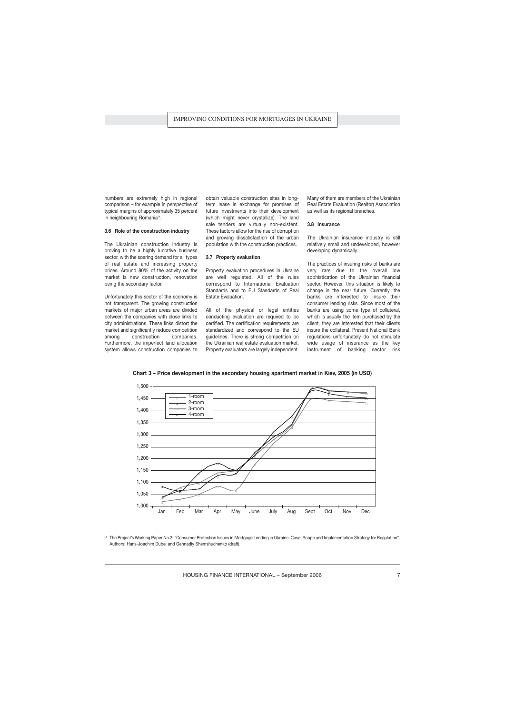numbers are extremely high in regional comparison – for example in perspective of typical margins of approximately 35 percent in neighbouring Romania<sup>14</sup>.

## **3.6 Role of the construction industry**

The Ukrainian construction industry is proving to be a highly lucrative business sector, with the soaring demand for all types of real estate and increasing property prices. Around 80% of the activity on the market is new construction, renovation being the secondary factor.

Unfortunately this sector of the economy is not transparent. The growing construction markets of major urban areas are divided between the companies with close links to city administrations. These links distort the market and significantly reduce competition among construction companies. Furthermore, the imperfect land allocation system allows construction companies to

obtain valuable construction sites in longterm lease in exchange for promises of future investments into their development (which might never crystallize). The land sale tenders are virtually non-existent. These factors allow for the rise of corruption and growing dissatisfaction of the urban population with the construction practices.

### **3.7 Property evaluation**

Property evaluation procedures in Ukraine are well regulated. All of the rules correspond to International Evaluation Standards and to EU Standards of Real Estate Evaluation.

All of the physical or legal entities conducting evaluation are required to be certified. The certification requirements are standardized and correspond to the EU guidelines. There is strong competition on the Ukrainian real estate evaluation market. Property evaluators are largely independent.

Many of them are members of the Ukrainian Real Estate Evaluation (Realtor) Association as well as its regional branches.

## **3.8 Insurance**

The Ukrainian insurance industry is still relatively small and undeveloped, however developing dynamically.

The practices of insuring risks of banks are very rare due to the overall low sophistication of the Ukrainian financial sector. However, this situation is likely to change in the near future. Currently, the banks are interested to insure their consumer lending risks. Since most of the banks are using some type of collateral, which is usually the item purchased by the client, they are interested that their clients insure the collateral. Present National Bank regulations unfortunately do not stimulate wide usage of insurance as the key instrument of banking sector risk



**Chart 3 – Price development in the secondary housing apartment market in Kiev, 2005 (in USD)**

The Project's Working Paper No 2: "Consumer Protection Issues in Mortgage Lending in Ukraine: Case, Scope and Implementation Strategy for Regulation". Authors: Hans-Joachim Dubel and Gennadiy Shemshuchenko (draft).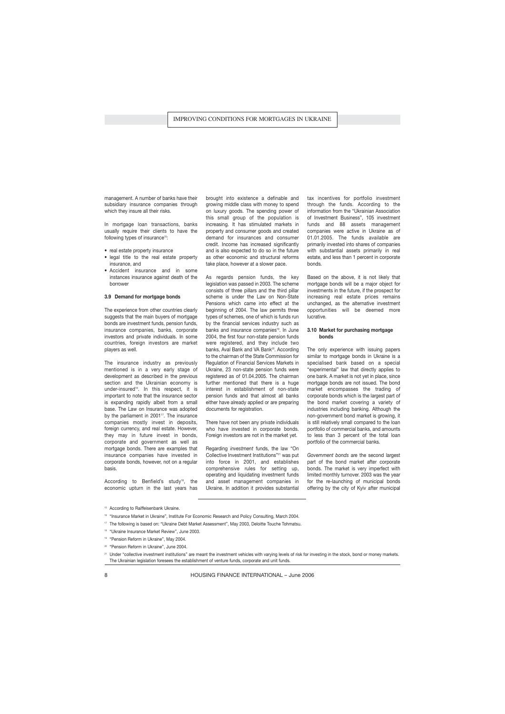management. A number of banks have their subsidiary insurance companies through which they insure all their risks.

In mortgage loan transactions, banks usually require their clients to have the following types of insurance<sup>15</sup>:

- real estate property insurance
- legal title to the real estate property insurance, and
- Accident insurance and in some instances insurance against death of the borrower

#### **3.9 Demand for mortgage bonds**

The experience from other countries clearly suggests that the main buyers of mortgage bonds are investment funds, pension funds, insurance companies, banks, corporate investors and private individuals. In some countries, foreign investors are market players as well.

The insurance industry as previously mentioned is in a very early stage of development as described in the previous section and the Ukrainian economy is under-insured<sup>16</sup>. In this respect, it is important to note that the insurance sector is expanding rapidly albeit from a small base. The Law on Insurance was adopted by the parliament in  $2001$ <sup>17</sup>. The insurance companies mostly invest in deposits, foreign currency, and real estate. However, they may in future invest in bonds, corporate and government as well as mortgage bonds. There are examples that insurance companies have invested in corporate bonds, however, not on a regular basis.

According to Benfield's study<sup>18</sup>, the economic upturn in the last years has brought into existence a definable and growing middle class with money to spend on luxury goods. The spending power of this small group of the population is increasing. It has stimulated markets in property and consumer goods and created demand for insurances and consumer credit. Income has increased significantly and is also expected to do so in the future as other economic and structural reforms take place, however at a slower pace.

As regards pension funds, the key legislation was passed in 2003. The scheme consists of three pillars and the third pillar scheme is under the Law on Non-State Pensions which came into effect at the beginning of 2004. The law permits three types of schemes, one of which is funds run by the financial services industry such as banks and insurance companies<sup>19</sup>. In June 2004, the first four non-state pension funds were registered, and they include two banks, Aval Bank and VA Bank<sup>20</sup>. According to the chairman of the State Commission for Regulation of Financial Services Markets in Ukraine, 23 non-state pension funds were registered as of 01.04.2005. The chairman further mentioned that there is a huge interest in establishment of non-state pension funds and that almost all banks either have already applied or are preparing documents for registration.

There have not been any private individuals who have invested in corporate bonds. Foreign investors are not in the market yet.

Regarding *investment* funds, the law "On Collective Investment Institutions"<sup>21</sup> was put into force in 2001, and establishes comprehensive rules for setting up, operating and liquidating investment funds and asset management companies in Ukraine. In addition it provides substantial

tax incentives for portfolio investment through the funds. According to the information from the "Ukrainian Association of Investment Business", 105 investment funds and 88 assets management companies were active in Ukraine as of 01.01.2005. The funds available are primarily invested into shares of companies with substantial assets primarily in real estate, and less than 1 percent in corporate bonds.

Based on the above, it is not likely that mortgage bonds will be a major object for investments in the future, if the prospect for increasing real estate prices remains unchanged, as the alternative investment opportunities will be deemed more lucrative.

## **3.10 Market for purchasing mortgage bonds**

The only experience with issuing papers similar to mortgage bonds in Ukraine is a specialised bank based on a special "experimental" law that directly applies to one bank. A market is not yet in place, since mortgage bonds are not issued. The bond market encompasses the trading of corporate bonds which is the largest part of the bond market covering a variety of industries including banking. Although the non-government bond market is growing, it is still relatively small compared to the loan portfolio of commercial banks, and amounts to less than 3 percent of the total loan portfolio of the commercial banks.

*Government bonds* are the second largest part of the bond market after corporate bonds. The market is very imperfect with limited monthly turnover. 2003 was the year for the re-launching of municipal bonds offering by the city of Kyiv after municipal

- <sup>15</sup> According to Raiffeisenbank Ukraine.
- <sup>16</sup> "Insurance Market in Ukraine", Institute For Economic Research and Policy Consulting, March 2004.
- <sup>17</sup> The following is based on: "Ukraine Debt Market Assessment", May 2003, Deloitte Touche Tohmatsu.
- <sup>18</sup> "Ukraine Insurance Market Review", June 2003.
- <sup>19</sup> "Pension Reform in Ukraine", May 2004.
- <sup>20</sup> "Pension Reform in Ukraine", June 2004.

<sup>21</sup> Under "collective investment institutions" are meant the investment vehicles with varying levels of risk for investing in the stock, bond or money markets. The Ukrainian legislation foresees the establishment of venture funds, corporate and unit funds.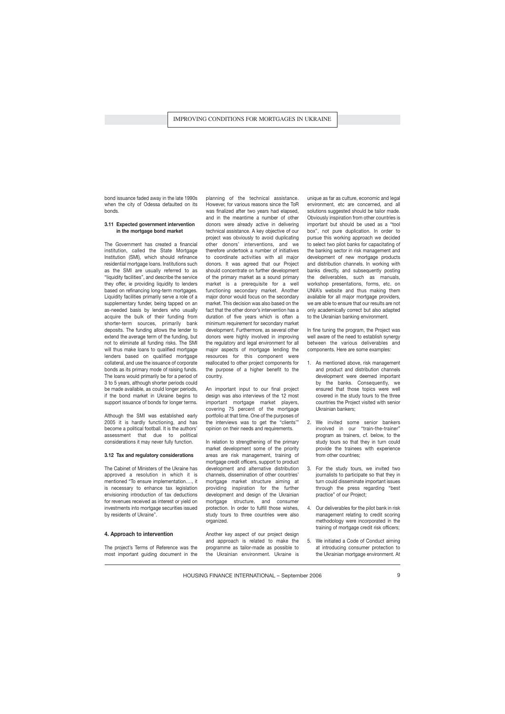bond issuance faded away in the late 1990s when the city of Odessa defaulted on its bonds.

## **3.11 Expected government intervention in the mortgage bond market**

The Government has created a financial institution, called the State Mortgage Institution (SMI), which should refinance residential mortgage loans. Institutions such as the SMI are usually referred to as "liquidity facilities", and describe the service they offer, ie providing liquidity to lenders based on refinancing long-term mortgages. Liquidity facilities primarily serve a role of a supplementary funder, being tapped on an as-needed basis by lenders who usually acquire the bulk of their funding from shorter-term sources, primarily bank deposits. The funding allows the lender to extend the average term of the funding, but not to eliminate all funding risks. The SMI will thus make loans to qualified mortgage lenders based on qualified mortgage collateral, and use the issuance of corporate bonds as its primary mode of raising funds. The loans would primarily be for a period of 3 to 5 years, although shorter periods could be made available, as could longer periods, if the bond market in Ukraine begins to support issuance of bonds for longer terms.

Although the SMI was established early 2005 it is hardly functioning, and has become a political football. It is the authors' assessment that due to political considerations it may never fully function.

## **3.12 Tax and regulatory considerations**

The Cabinet of Ministers of the Ukraine has approved a resolution in which it is mentioned "To ensure implementation…., it is necessary to enhance tax legislation envisioning introduction of tax deductions for revenues received as interest or yield on investments into mortgage securities issued by residents of Ukraine".

### **4. Approach to intervention**

The project's Terms of Reference was the most important guiding document in the planning of the technical assistance. However, for various reasons since the ToR was finalized after two years had elapsed, and in the meantime a number of other donors were already active in delivering technical assistance. A key objective of our project was obviously to avoid duplicating other donors' interventions, and we therefore undertook a number of initiatives to coordinate activities with all major donors. It was agreed that our Project should concentrate on further development of the primary market as a sound primary market is a prerequisite for a well functioning secondary market. Another major donor would focus on the secondary market. This decision was also based on the fact that the other donor's intervention has a duration of five years which is often a minimum requirement for secondary market development. Furthermore, as several other donors were highly involved in improving the regulatory and legal environment for all major aspects of mortgage lending the resources for this component were reallocated to other project components for the purpose of a higher benefit to the country.

An important input to our final project design was also interviews of the 12 most important mortgage market players, covering 75 percent of the mortgage portfolio at that time. One of the purposes of the interviews was to get the "clients'" opinion on their needs and requirements.

In relation to strengthening of the primary market development some of the priority areas are risk management, training of mortgage credit officers, support to product development and alternative distribution channels, dissemination of other countries' mortgage market structure aiming at providing inspiration for the further development and design of the Ukrainian mortgage structure, and consumer protection. In order to fulfill those wishes, study tours to three countries were also organized.

Another key aspect of our project design and approach is related to make the programme as tailor-made as possible to the Ukrainian environment. Ukraine is unique as far as culture, economic and legal environment, etc are concerned, and all solutions suggested should be tailor made. Obviously inspiration from other countries is important but should be used as a "tool box", not pure duplication. In order to pursue this working approach we decided to select two pilot banks for capacitating of the banking sector in risk management and development of new mortgage products and distribution channels. In working with banks directly, and subsequently posting the deliverables, such as manuals, workshop presentations, forms, etc. on UNIA's website and thus making them available for all major mortgage providers, we are able to ensure that our results are not only academically correct but also adapted to the Ukrainian banking environment.

In fine tuning the program, the Project was well aware of the need to establish synergy between the various deliverables and components. Here are some examples:

- 1. As mentioned above, risk management and product and distribution channels development were deemed important by the banks. Consequently, we ensured that those topics were well covered in the study tours to the three countries the Project visited with senior Ukrainian bankers;
- 2. We invited some senior bankers involved in our "train-the-trainer" program as trainers, cf. below, to the study tours so that they in turn could provide the trainees with experience from other countries;
- 3. For the study tours, we invited two journalists to participate so that they in turn could disseminate important issues through the press regarding "best practice" of our Project;
- 4. Our deliverables for the pilot bank in risk management relating to credit scoring methodology were incorporated in the training of mortgage credit risk officers;
- 5. We initiated a Code of Conduct aiming at introducing consumer protection to the Ukrainian mortgage environment. At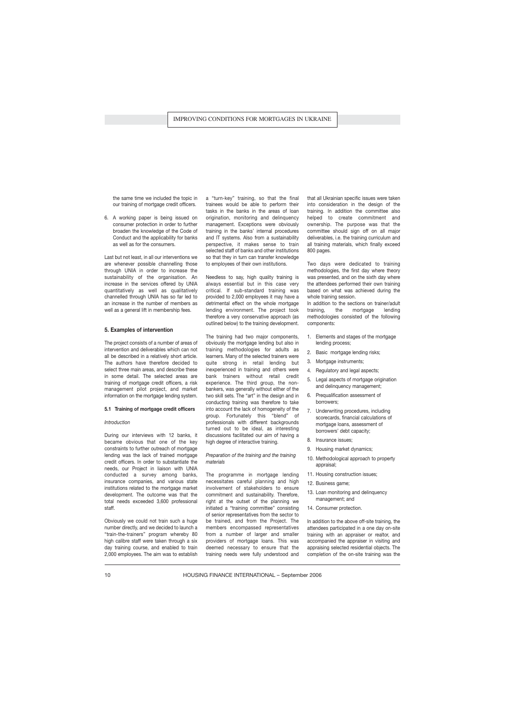the same time we included the topic in our training of mortgage credit officers.

6. A working paper is being issued on consumer protection in order to further broaden the knowledge of the Code of Conduct and the applicability for banks as well as for the consumers.

Last but not least, in all our interventions we are whenever possible channelling those through UNIA in order to increase the sustainability of the organisation. An increase in the services offered by UNIA quantitatively as well as qualitatively channelled through UNIA has so far led to an increase in the number of members as well as a general lift in membership fees.

## **5. Examples of intervention**

The project consists of a number of areas of intervention and deliverables which can not all be described in a relatively short article. The authors have therefore decided to select three main areas, and describe these in some detail. The selected areas are training of mortgage credit officers, a risk management pilot project, and market information on the mortgage lending system.

## **5.1 Training of mortgage credit officers**

#### *Introduction*

During our interviews with 12 banks, it became obvious that one of the key constraints to further outreach of mortgage lending was the lack of trained mortgage credit officers. In order to substantiate the needs, our Project in liaison with UNIA conducted a survey among banks, insurance companies, and various state institutions related to the mortgage market development. The outcome was that the total needs exceeded 3,600 professional staff.

Obviously we could not train such a huge number directly, and we decided to launch a "train-the-trainers" program whereby 80 high calibre staff were taken through a six day training course, and enabled to train 2,000 employees. The aim was to establish a "turn-key" training, so that the final trainees would be able to perform their tasks in the banks in the areas of loan origination, monitoring and delinquency management. Exceptions were obviously training in the banks' internal procedures and IT systems. Also from a sustainability perspective, it makes sense to train selected staff of banks and other institutions so that they in turn can transfer knowledge to employees of their own institutions.

Needless to say, high quality training is always essential but in this case very critical. If sub-standard training was provided to 2,000 employees it may have a detrimental effect on the whole mortgage lending environment. The project took therefore a very conservative approach (as outlined below) to the training development.

The training had two major components, obviously the mortgage lending but also in training methodologies for adults as learners. Many of the selected trainers were quite strong in retail lending but inexperienced in training and others were bank trainers without retail credit experience. The third group, the nonbankers, was generally without either of the two skill sets. The "art" in the design and in conducting training was therefore to take into account the lack of homogeneity of the group. Fortunately this "blend" of professionals with different backgrounds turned out to be ideal, as interesting discussions facilitated our aim of having a high degree of interactive training.

*Preparation of the training and the training materials*

The programme in mortgage lending necessitates careful planning and high involvement of stakeholders to ensure commitment and sustainability. Therefore, right at the outset of the planning we initiated a "training committee" consisting of senior representatives from the sector to be trained, and from the Project. The members encompassed representatives from a number of larger and smaller providers of mortgage loans. This was deemed necessary to ensure that the training needs were fully understood and that all Ukrainian specific issues were taken into consideration in the design of the training. In addition the committee also helped to create commitment and ownership. The purpose was that the committee should sign off on all major deliverables, i.e. the training curriculum and all training materials, which finally exceed 800 pages.

Two days were dedicated to training methodologies, the first day where theory was presented, and on the sixth day where the attendees performed their own training based on what was achieved during the whole training session.

In addition to the sections on trainer/adult training, the mortgage lending methodologies consisted of the following components:

- 1. Elements and stages of the mortgage lending process;
- 2. Basic mortgage lending risks;
- 3. Mortgage instruments;
- 4. Regulatory and legal aspects;
- 5. Legal aspects of mortgage origination and delinquency management;
- 6. Prequalification assessment of borrowers;
- 7. Underwriting procedures, including scorecards, financial calculations of mortgage loans, assessment of borrowers' debt capacity;
- 8. Insurance issues;
- 9. Housing market dynamics;
- 10. Methodological approach to property appraisal;
- 11. Housing construction issues;
- 12. Business game;
- 13. Loan monitoring and delinquency management; and
- 14. Consumer protection.

In addition to the above off-site training, the attendees participated in a one day on-site training with an appraiser or realtor, and accompanied the appraiser in visiting and appraising selected residential objects. The completion of the on-site training was the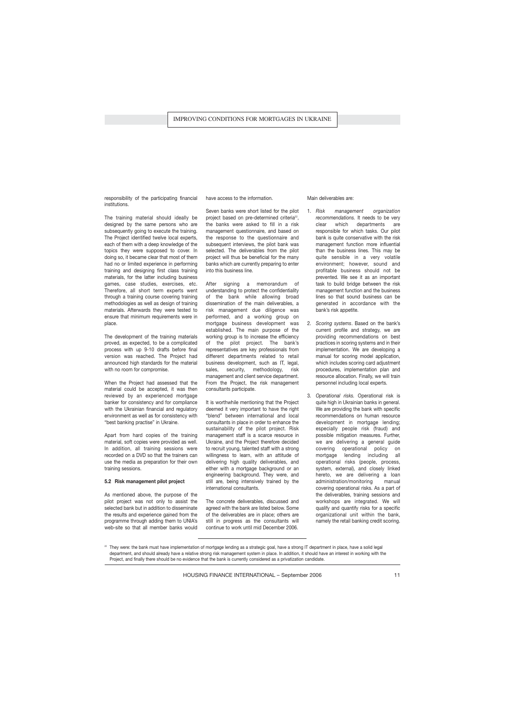responsibility of the participating financial institutions.

The training material should ideally be designed by the same persons who are subsequently going to execute the training. The Project identified twelve local experts, each of them with a deep knowledge of the topics they were supposed to cover. In doing so, it became clear that most of them had no or limited experience in performing training and designing first class training materials, for the latter including business games, case studies, exercises, etc. Therefore, all short term experts went through a training course covering training methodologies as well as design of training materials. Afterwards they were tested to ensure that minimum requirements were in place.

The development of the training materials proved, as expected, to be a complicated process with up 9-10 drafts before final version was reached. The Project had announced high standards for the material with no room for compromise.

When the Project had assessed that the material could be accepted, it was then reviewed by an experienced mortgage banker for consistency and for compliance with the Ukrainian financial and regulatory environment as well as for consistency with "best banking practise" in Ukraine.

Apart from hard copies of the training material, soft copies were provided as well. In addition, all training sessions were recorded on a DVD so that the trainers can use the media as preparation for their own training sessions.

## **5.2 Risk management pilot project**

As mentioned above, the purpose of the pilot project was not only to assist the selected bank but in addition to disseminate the results and experience gained from the programme through adding them to UNIA's web-site so that all member banks would have access to the information.

Seven banks were short listed for the pilot project based on pre-determined criteria<sup>22</sup>, the banks were asked to fill in a risk management questionnaire, and based on the response to the questionnaire and subsequent interviews, the pilot bank was selected. The deliverables from the pilot project will thus be beneficial for the many banks which are currently preparing to enter into this business line.

After signing a memorandum of understanding to protect the confidentiality of the bank while allowing broad dissemination of the main deliverables, a risk management due diligence was performed, and a working group on mortgage business development was established. The main purpose of the working group is to increase the efficiency of the pilot project. The bank's representatives are key professionals from different departments related to retail business development, such as IT, legal, sales, security, methodology, risk management and client service department. From the Project, the risk management consultants participate.

It is worthwhile mentioning that the Project deemed it very important to have the right "blend" between international and local consultants in place in order to enhance the sustainability of the pilot project. Risk management staff is a scarce resource in Ukraine, and the Project therefore decided to recruit young, talented staff with a strong willingness to learn, with an attitude of delivering high quality deliverables, and either with a mortgage background or an engineering background. They were, and still are, being intensively trained by the international consultants.

The concrete deliverables, discussed and agreed with the bank are listed below. Some of the deliverables are in place; others are still in progress as the consultants will continue to work until mid December 2006.

Main deliverables are:

- 1. *Risk management organization recommendations.* It needs to be very clear which departments are responsible for which tasks. Our pilot bank is quite conservative with the risk management function more influential than the business lines. This may be quite sensible in a very volatile environment; however, sound and profitable business should not be prevented. We see it as an important task to build bridge between the risk management function and the business lines so that sound business can be generated in accordance with the bank's risk appetite.
- 2. *Scoring systems*. Based on the bank's current profile and strategy, we are providing recommendations on best practices in scoring systems and in their implementation. We are developing a manual for scoring model application, which includes scoring card adjustment procedures, implementation plan and resource allocation. Finally, we will train personnel including local experts.
- 3. *Operational risks.* Operational risk is quite high in Ukrainian banks in general. We are providing the bank with specific recommendations on human resource development in mortgage lending; especially people risk (fraud) and possible mitigation measures. Further, we are delivering a general guide covering operational policy on mortgage lending including all operational risks (people, process, system, external), and closely linked hereto, we are delivering a loan administration/monitoring manual covering operational risks. As a part of the deliverables, training sessions and workshops are integrated. We will qualify and quantify risks for a specific organizational unit within the bank, namely the retail banking credit scoring.

<sup>&</sup>lt;sup>22</sup> They were: the bank must have implementation of mortgage lending as a strategic goal, have a strong IT department in place, have a solid legal department, and should already have a relative strong risk management system in place. In addition, it should have an interest in working with the Project, and finally there should be no evidence that the bank is currently considered as a privatization candidate.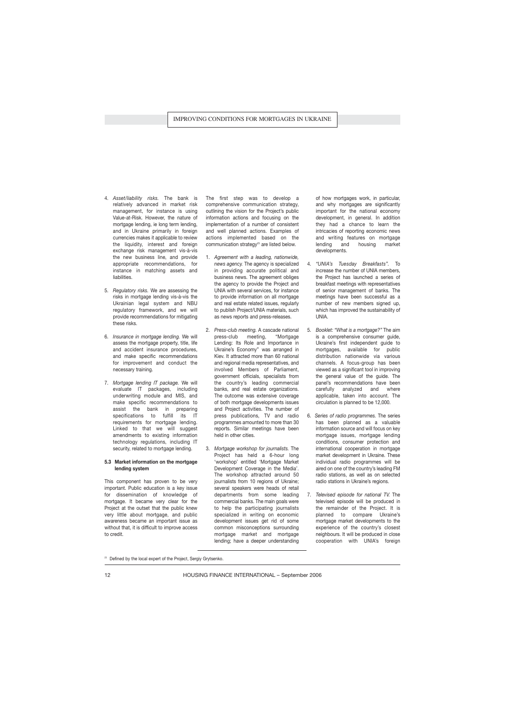- 4. *Asset/liability risks.* The bank is relatively advanced in market risk management, for instance is using Value-at-Risk. However, the nature of mortgage lending, ie long term lending, and in Ukraine primarily in foreign currencies makes it applicable to review the liquidity, interest and foreign exchange risk management vis-à-vis the new business line, and provide appropriate recommendations, for instance in matching assets and liabilities.
- 5. *Regulatory risks.* We are assessing the risks in mortgage lending vis-à-vis the Ukrainian legal system and NBU regulatory framework, and we will provide recommendations for mitigating these risks.
- 6. *Insurance in mortgage lending.* We will assess the mortgage property, title, life and accident insurance procedures, and make specific recommendations for improvement and conduct the necessary training.
- 7. *Mortgage lending IT package.* We will evaluate IT packages, including underwriting module and MIS, and make specific recommendations to assist the bank in preparing specifications to fulfill its IT requirements for mortgage lending. Linked to that we will suggest amendments to existing information technology regulations, including IT security, related to mortgage lending.

## **5.3 Market information on the mortgage lending system**

This component has proven to be very important. Public education is a key issue for dissemination of knowledge of mortgage. It became very clear for the Project at the outset that the public knew very little about mortgage, and public awareness became an important issue as without that, it is difficult to improve access to credit.

The first step was to develop a comprehensive communication strategy, outlining the vision for the Project's public information actions and focusing on the implementation of a number of consistent and well planned actions. Examples of actions implemented based on the communication strategy<sup>23</sup> are listed below.

- 1. *Agreement with a leading, nationwide, news agency.* The agency is specialized in providing accurate political and business news. The agreement obliges the agency to provide the Project and UNIA with several services, for instance to provide information on all mortgage and real estate related issues, regularly to publish Project/UNIA materials, such as news reports and press-releases.
- 2. *Press-club meeting.* A cascade national press-club meeting, "Mortgage Lending: Its Role and Importance in Ukraine's Economy" was arranged in Kiev. It attracted more than 60 national and regional media representatives, and involved Members of Parliament, government officials, specialists from the country's leading commercial banks, and real estate organizations. The outcome was extensive coverage of both mortgage developments issues and Project activities. The number of press publications, TV and radio programmes amounted to more than 30 reports. Similar meetings have been held in other cities.
- 3. *Mortgage workshop for journalists.* The Project has held a 6-hour long 'workshop' entitled 'Mortgage Market Development Coverage in the Media'. The workshop attracted around 50 journalists from 10 regions of Ukraine; several speakers were heads of retail departments from some leading commercial banks. The main goals were to help the participating journalists specialized in writing on economic development issues get rid of some common misconceptions surrounding mortgage market and mortgage lending; have a deeper understanding

of how mortgages work, in particular, and why mortgages are significantly important for the national economy development, in general. In addition they had a chance to learn the intricacies of reporting economic news and writing features on mortgage lending and housing market developments.

- 4. *"UNIA's Tuesday Breakfasts".* To increase the number of UNIA members, the Project has launched a series of breakfast meetings with representatives of senior management of banks. The meetings have been successful as a number of new members signed up, which has improved the sustainability of UNIA.
- 5. *Booklet: "What is a mortgage?"* The aim is a comprehensive consumer guide, Ukraine's first independent guide to mortgages, available for public distribution nationwide via various channels. A focus-group has been viewed as a significant tool in improving the general value of the guide. The panel's recommendations have been carefully analyzed and where applicable, taken into account. The circulation is planned to be 12,000.
- 6. *Series of radio programmes.* The series has been planned as a valuable information source and will focus on key mortgage issues, mortgage lending conditions, consumer protection and international cooperation in mortgage market development in Ukraine. These individual radio programmes will be aired on one of the country's leading FM radio stations, as well as on selected radio stations in Ukraine's regions.
- 7. *Televised episode for national TV.* The televised episode will be produced in the remainder of the Project. It is planned to compare Ukraine's mortgage market developments to the experience of the country's closest neighbours. It will be produced in close cooperation with UNIA's foreign

<sup>&</sup>lt;sup>23</sup> Defined by the local expert of the Project, Sergiy Grytsenko.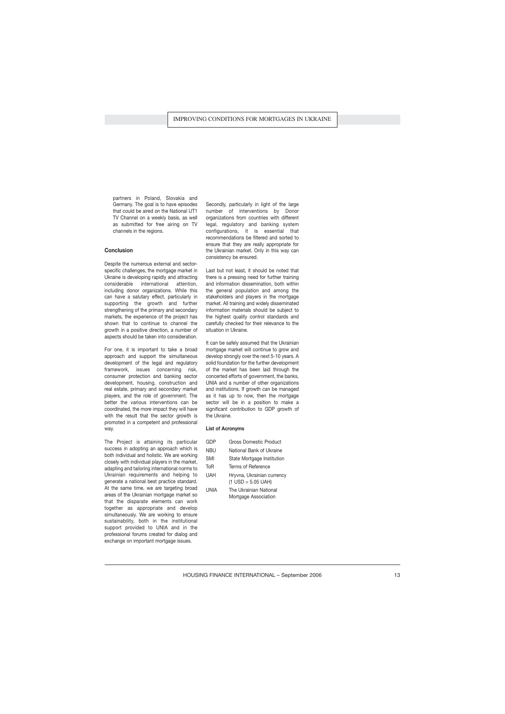partners in Poland, Slovakia and Germany. The goal is to have episodes that could be aired on the National UT1 TV Channel on a weekly basis, as well as submitted for free airing on TV channels in the regions.

## **Conclusion**

Despite the numerous external and sectorspecific challenges, the mortgage market in Ukraine is developing rapidly and attracting considerable international attention, including donor organizations. While this can have a salutary effect, particularly in supporting the growth and further strengthening of the primary and secondary markets, the experience of the project has shown that to continue to channel the growth in a positive direction, a number of aspects should be taken into consideration.

For one, it is important to take a broad approach and support the simultaneous development of the legal and regulatory framework, issues concerning risk, consumer protection and banking sector development, housing, construction and real estate, primary and secondary market players, and the role of government. The better the various interventions can be coordinated, the more impact they will have with the result that the sector growth is promoted in a competent and professional way.

The Project is attaining its particular success in adopting an approach which is both individual and holistic. We are working closely with individual players in the market, adapting and tailoring international norms to Ukrainian requirements and helping to generate a national best practice standard. At the same time, we are targeting broad areas of the Ukrainian mortgage market so that the disparate elements can work together as appropriate and develop simultaneously. We are working to ensure sustainability, both in the institutional support provided to UNIA and in the professional forums created for dialog and exchange on important mortgage issues.

Secondly, particularly in light of the large number of interventions by Donor organizations from countries with different legal, regulatory and banking system configurations, it is essential that recommendations be filtered and sorted to ensure that they are really appropriate for the Ukrainian market. Only in this way can consistency be ensured.

Last but not least, it should be noted that there is a pressing need for further training and information dissemination, both within the general population and among the stakeholders and players in the mortgage market. All training and widely disseminated information materials should be subject to the highest quality control standards and carefully checked for their relevance to the situation in Ukraine.

It can be safely assumed that the Ukrainian mortgage market will continue to grow and develop strongly over the next 5-10 years. A solid foundation for the further development of the market has been laid through the concerted efforts of government, the banks, UNIA and a number of other organizations and institutions. If growth can be managed as it has up to now, then the mortgage sector will be in a position to make a significant contribution to GDP growth of the Ukraine.

### **List of Acronyms**

| GDP        | Gross Domestic Product                             |
|------------|----------------------------------------------------|
| <b>NBU</b> | National Bank of Ukraine                           |
| <b>SMI</b> | State Mortgage Institution                         |
| ToR        | Terms of Reference                                 |
| <b>UAH</b> | Hryvna, Ukrainian currency<br>$(1$ USD = 5.05 UAH) |

UNIA The Ukrainian National Mortgage Association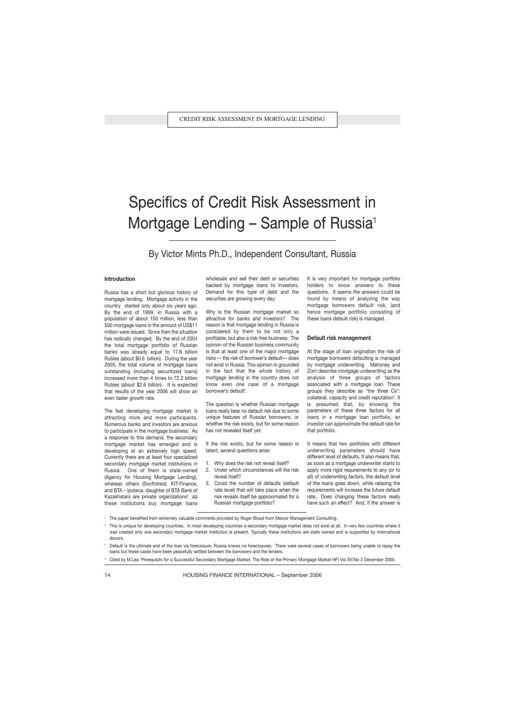## Specifics of Credit Risk Assessment in Mortgage Lending  $-$  Sample of Russia<sup>1</sup>

By Victor Mints Ph.D., Independent Consultant, Russia

## **Introduction**

Russia has a short but glorious history of mortgage lending. Mortgage activity in the country started only about six years ago. By the end of 1999, in Russia with a population of about 150 million, less than 500 mortgage loans in the amount of US\$11 million were issued. Since then the situation has radically changed. By the end of 2004 the total mortgage portfolio of Russian banks was already equal to 17.8 billion Rubles (about \$0.6 billion). During the year 2005, the total volume of mortgage loans outstanding (including securitized loans) increased more than 4 times to 72.2 billion Rubles (about \$2.6 billion). It is expected that results of the year 2006 will show an even faster growth rate.

The fast developing mortgage market is attracting more and more participants. Numerous banks and investors are anxious to participate in the mortgage business. As a response to this demand, the secondary mortgage market has emerged and is developing at an extremely high speed. Currently there are at least four specialized secondary mortgage market institutions in Russia. One of them is state-owned (Agency for Housing Mortgage Lending), whereas others (Sovfintreid, KIT-Finance, and BTA – Ipoteca, daughter of BTA Bank of Kazakhstan) are private organizations<sup>2</sup>. All these institutions buy mortgage loans wholesale and sell their debt or securities backed by mortgage loans to investors. Demand for this type of debt and the securities are growing every day.

Why is the Russian mortgage market so attractive for banks and investors? The reason is that mortgage lending in Russia is considered by them to be not only a profitable, but also a risk-free business. The opinion of the Russian business community is that at least one of the major mortgage risks — the risk of borrower's default— does not exist in Russia. This opinion is grounded in the fact that the whole history of mortgage lending in the country does not know even one case of a mortgage borrower's default<sup>3</sup>.

The question is whether Russian mortgage loans really bear no default risk due to some unique features of Russian borrowers, or whether the risk exists, but for some reason has not revealed itself yet.

If the risk exists, but for some reason is latent, several questions arise:

- 1. Why does the risk not reveal itself?
- 2. Under which circumstances will the risk reveal itself?
- 3. Could the number of defaults (default rate level) that will take place when the risk reveals itself be approximated for a Russian mortgage portfolio?

It is very important for mortgage portfolio holders to know answers to these questions. It seems the answers could be found by means of analyzing the way mortgage borrowers default risk, (and hence mortgage portfolio consisting of these loans default risk) is managed.

#### **Default risk management**

At the stage of loan origination the risk of mortgage borrowers defaulting is managed by mortgage underwriting. Mahoney and Zorn describe mortgage underwriting as the analysis of three groups of factors associated with a mortgage loan. These groups they describe as "the three Cs": collateral, capacity and credit reputation<sup>4</sup>. It is presumed that, by knowing the parameters of these three factors for all loans in a mortgage loan portfolio, an investor can approximate the default rate for that portfolio.

It means that two portfolios with different underwriting parameters should have different level of defaults. It also means that, as soon as a mortgage underwriter starts to apply more rigid requirements to any (or to all) of underwriting factors, the default level of the loans goes down, while relaxing the requirements will increase the future default rate.. Does changing these factors really have such an effect? And, if the answer is

- <sup>1</sup> The paper benefited from extremely valuable comments provided by Roger Blood from Mercer Management Consulting.
- This is unique for developing countries. In most developing countries a secondary mortgage market does not exist at all. In very few countries where it was created only one secondary mortgage market institution is present. Typically these institutions are state owned and is supported by international donors.

Default is the ultimate end of the loan via foreclosure. Russia knows no foreclosures. There were several cases of borrowers being unable to repay the loans but these cases have been peacefully settled between the borrowers and the lenders.

<sup>4</sup> Cited by M.Lea "Perequisits for a Successful Secondary Mortgage Market: The Role of the Primary Mortgage Market HFI Vol XV/No 2 December 2000.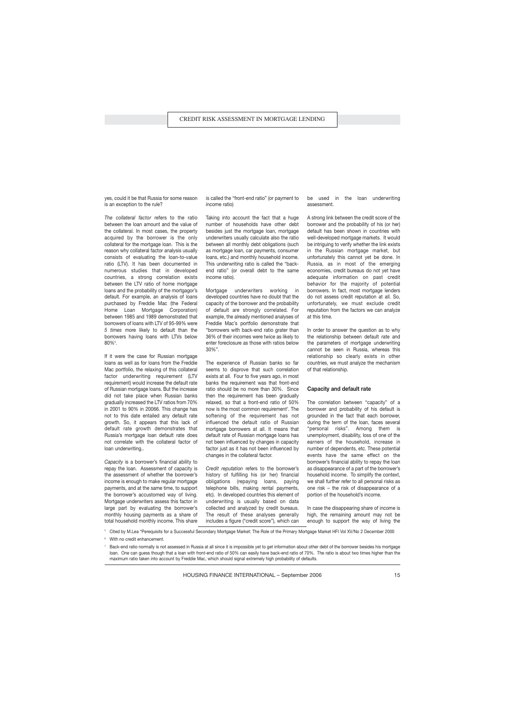yes, could it be that Russia for some reason is an exception to the rule?

*The collateral factor* refers to the ratio between the loan amount and the value of the collateral. In most cases, the property acquired by the borrower is the only collateral for the mortgage loan. This is the reason why collateral factor analysis usually consists of evaluating the loan-to-value ratio (LTV). It has been documented in numerous studies that in developed countries, a strong correlation exists between the LTV ratio of home mortgage loans and the probability of the mortgagor's default. For example, an analysis of loans purchased by Freddie Mac (the Federal Home Loan Mortgage Corporation) between 1985 and 1989 demonstrated that borrowers of loans with LTV of 95-99% were *5 times* more likely to default than the borrowers having loans with LTVs below  $80\%^{5}$ .

If it were the case for Russian mortgage loans as well as for loans from the Freddie Mac portfolio, the relaxing of this collateral factor underwriting requirement (LTV requirement) would increase the default rate of Russian mortgage loans. But the increase did not take place when Russian banks gradually increased the LTV ratios from 70% in 2001 to 90% in 20066. This change has not to this date entailed any default rate growth. So, it appears that this lack of default rate growth demonstrates that Russia's mortgage loan default rate does not correlate with the collateral factor of loan underwriting..

*Capacity* is a borrower's financial ability to repay the loan. Assessment of capacity is the assessment of whether the borrower's income is enough to make regular mortgage payments, and at the same time, to support the borrower's accustomed way of living. Mortgage underwriters assess this factor in large part by evaluating the borrower's monthly housing payments as a share of total household monthly income. This share is called the "front-end ratio" (or payment to income ratio)

Taking into account the fact that a huge number of households have other debt besides just the mortgage loan, mortgage underwriters usually calculate also the ratio between all monthly debt obligations (such as mortgage loan, car payments, consumer loans, etc.) and monthly household income. This underwriting ratio is called the "backend ratio" (or overall debt to the same income ratio).

Mortgage underwriters working in developed countries have no doubt that the capacity of the borrower and the probability of default are strongly correlated. For example, the already mentioned analyses of Freddie Mac's portfolio demonstrate that "borrowers with back-end ratio grater than 36% of their incomes were twice as likely to enter foreclosure as those with ratios below 30%".

The experience of Russian banks so far seems to disprove that such correlation exists at all. Four to five years ago, in most banks the requirement was that front-end ratio should be no more than 30%. Since then the requirement has been gradually relaxed, so that a front-end ratio of 50% now is the most common requirement<sup>7</sup>. The softening of the requirement has not influenced the default ratio of Russian mortgage borrowers at all. It means that default rate of Russian mortgage loans has not been influenced by changes in capacity factor just as it has not been influenced by changes in the collateral factor.

*Credit reputation* refers to the borrower's history of fulfilling his (or her) financial obligations (repaying loans, paying telephone bills, making rental payments, etc). In developed countries this element of underwriting is usually based on data collected and analyzed by credit bureaus. The result of these analyses generally includes a figure ("credit score"), which can

be used in the loan underwriting assessment.

A strong link between the credit score of the borrower and the probability of his (or her) default has been shown in countries with well-developed mortgage markets. It would be intriguing to verify whether the link exists in the Russian mortgage market, but unfortunately this cannot yet be done. In Russia, as in most of the emerging economies, credit bureaus do not yet have adequate information on past credit behavior for the majority of potential borrowers. In fact, most mortgage lenders do not assess credit reputation at all. So, unfortunately, we must exclude credit reputation from the factors we can analyze at this time.

In order to answer the question as to why the relationship between default rate and the parameters of mortgage underwriting cannot be seen in Russia, whereas this relationship so clearly exists in other countries, we must analyze the mechanism of that relationship.

### **Capacity and default rate**

The correlation between "capacity" of a borrower and probability of his default is grounded in the fact that each borrower, during the term of the loan, faces several "personal risks". Among them is unemployment, disability, loss of one of the earners of the household, increase in number of dependents, etc. These potential events have the same effect on the borrower's financial ability to repay the loan as disappearance of a part of the borrower's household income. To simplify the context, we shall further refer to all personal risks as one risk – the risk of disappearance of a portion of the household's income.

In case the disappearing share of income is high, the remaining amount may not be enough to support the way of living the

<sup>5</sup> Cited by M.Lea "Perequisits for a Successful Secondary Mortgage Market: The Role of the Primary Mortgage Market HFI Vol XV/No 2 December 2000

<sup>6</sup> With no credit enhancement.

Back-end ratio normally is not assessed in Russia at all since it is impossible yet to get information about other debt of the borrower besides his mortgage loan. One can guess though that a loan with front-end ratio of 50% can easily have back-end ratio of 70%. The ratio is about two times higher than the maximum ratio taken into account by Freddie Mac, which should signal extremely high probability of defaults.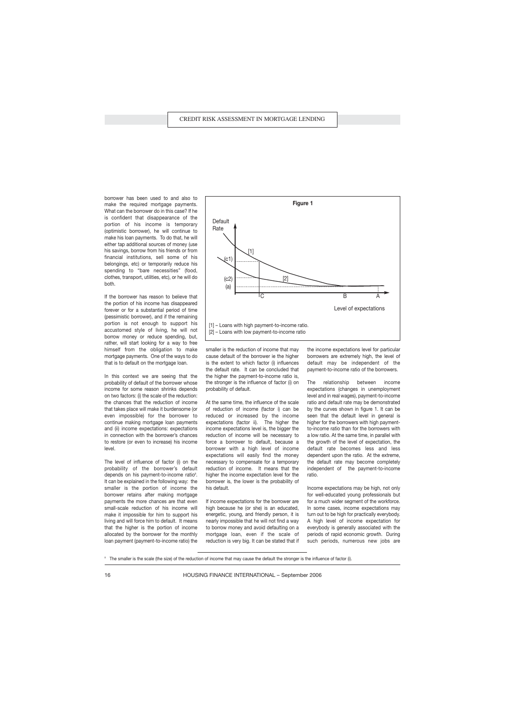borrower has been used to and also to make the required mortgage payments. What can the borrower do in this case? If he is confident that disappearance of the portion of his income is temporary (optimistic borrower), he will continue to make his loan payments. To do that, he will either tap additional sources of money (use his savings, borrow from his friends or from financial institutions, sell some of his belongings, etc) or temporarily reduce his spending to "bare necessities" (food, clothes, transport, utilities, etc), or he will do both.

If the borrower has reason to believe that the portion of his income has disappeared forever or for a substantial period of time (pessimistic borrower), and if the remaining portion is not enough to support his accustomed style of living, he will not borrow money or reduce spending, but, rather, will start looking for a way to free himself from the obligation to make mortgage payments. One of the ways to do that is to default on the mortgage loan.

In this context we are seeing that the probability of default of the borrower whose income for some reason shrinks depends on two factors: (i) the scale of the reduction: the chances that the reduction of income that takes place will make it burdensome (or even impossible) for the borrower to continue making mortgage loan payments and (ii) income expectations: expectations in connection with the borrower's chances to restore (or even to increase) his income level.

The level of influence of factor (i) on the probability of the borrower's default depends on his payment-to-income ratio<sup>8</sup>. It can be explained in the following way: the smaller is the portion of income the borrower retains after making mortgage payments the more chances are that even small-scale reduction of his income will make it impossible for him to support his living and will force him to default. It means that the higher is the portion of income allocated by the borrower for the monthly loan payment (payment-to-income ratio) the



smaller is the reduction of income that may cause default of the borrower ie the higher is the extent to which factor (i) influences the default rate. It can be concluded that the higher the payment-to-income ratio is, the stronger is the influence of factor (i) on probability of default.

At the same time, the influence of the scale of reduction of income (factor i) can be reduced or increased by the income expectations (factor ii). The higher the income expectations level is, the bigger the reduction of income will be necessary to force a borrower to default, because a borrower with a high level of income expectations will easily find the money necessary to compensate for a temporary reduction of income. It means that the higher the income expectation level for the borrower is, the lower is the probability of his default.

If income expectations for the borrower are high because he (or she) is an educated, energetic, young, and friendly person, it is nearly impossible that he will not find a way to borrow money and avoid defaulting on a mortgage loan, even if the scale of reduction is very big. It can be stated that if the income expectations level for particular borrowers are extremely high, the level of default may be independent of the payment-to-income ratio of the borrowers.

The relationship between income expectations (changes in unemployment level and in real wages), payment-to-income ratio and default rate may be demonstrated by the curves shown in figure 1. It can be seen that the default level in general is higher for the borrowers with high paymentto-income ratio than for the borrowers with a low ratio. At the same time, in parallel with the growth of the level of expectation, the default rate becomes less and less dependent upon the ratio. At the extreme, the default rate may become completely independent of the payment-to-income ratio.

Income expectations may be high, not only for well-educated young professionals but for a much wider segment of the workforce. In some cases, income expectations may turn out to be high for practically everybody. A high level of income expectation for everybody is generally associated with the periods of rapid economic growth. During such periods, numerous new jobs are

<sup>&</sup>lt;sup>8</sup> The smaller is the scale (the size) of the reduction of income that may cause the default the stronger is the influence of factor (i).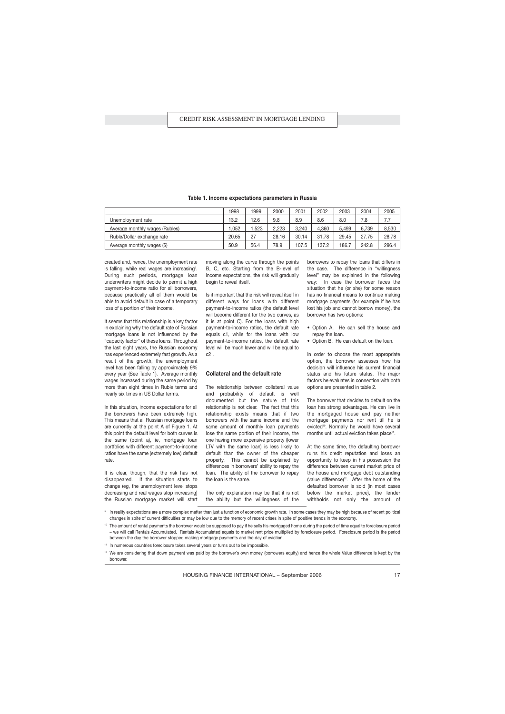|                                | 1998  | 1999 | 2000  | 2001  | 2002  | 2003  | 2004  | 2005  |
|--------------------------------|-------|------|-------|-------|-------|-------|-------|-------|
| Unemployment rate              | 13.2  | 12.6 | 9.8   | 8.9   | 8.6   | 8.0   | 7.8   | 7.7   |
| Average monthly wages (Rubles) | .052  | .523 | 2.223 | 3.240 | 4.360 | 5.499 | 6.739 | 8.530 |
| Ruble/Dollar exchange rate     | 20.65 | 27   | 28.16 | 30.14 | 31.78 | 29.45 | 27.75 | 28.78 |
| Average monthly wages (\$)     | 50.9  | 56.4 | 78.9  | 107.5 | 137.2 | 186.7 | 242.8 | 296.4 |

### **Table 1. Income expectations parameters in Russia**

created and, hence, the unemployment rate is falling, while real wages are increasing<sup>9</sup>. During such periods, mortgage loan underwriters might decide to permit a high payment-to-income ratio for all borrowers, because practically all of them would be able to avoid default in case of a temporary loss of a portion of their income.

It seems that this relationship is a key factor in explaining why the default rate of Russian mortgage loans is not influenced by the "capacity factor" of these loans. Throughout the last eight years, the Russian economy has experienced extremely fast growth. As a result of the growth, the unemployment level has been falling by approximately 9% every year (See Table 1). Average monthly wages increased during the same period by more than eight times in Ruble terms and nearly six times in US Dollar terms.

In this situation, income expectations for all the borrowers have been extremely high. This means that all Russian mortgage loans are currently at the point A of Figure 1. At this point the default level for both curves is the same (point a), ie, mortgage loan portfolios with different payment-to-income ratios have the same (extremely low) default rate.

It is clear, though, that the risk has not disappeared. If the situation starts to change (eg, the unemployment level stops decreasing and real wages stop increasing) the Russian mortgage market will start moving along the curve through the points B, C, etc. Starting from the B-level of income expectations, the risk will gradually begin to reveal itself.

Is it important that the risk will reveal itself in different ways for loans with different payment-to-income ratios (the default level will become different for the two curves, as it is at point C). For the loans with high payment-to-income ratios, the default rate equals c1, while for the loans with low payment-to-income ratios, the default rate level will be much lower and will be equal to  $c2$ 

## **Collateral and the default rate**

The relationship between collateral value and probability of default is well documented but the nature of this relationship is not clear. The fact that this relationship exists means that if two borrowers with the same income and the same amount of monthly loan payments lose the same portion of their income, the one having more expensive property (lower LTV with the same loan) is less likely to default than the owner of the cheaper property. This cannot be explained by differences in borrowers' ability to repay the loan. The ability of the borrower to repay the loan is the same.

The only explanation may be that it is not the ability but the willingness of the borrowers to repay the loans that differs in the case. The difference in "willingness level" may be explained in the following way: In case the borrower faces the situation that he (or she) for some reason has no financial means to continue making mortgage payments (for example if he has lost his job and cannot borrow money), the borrower has two options:

- Option A. He can sell the house and repay the loan.
- Option B. He can default on the loan.

In order to choose the most appropriate option, the borrower assesses how his decision will influence his current financial status and his future status. The major factors he evaluates in connection with both options are presented in table 2.

The borrower that decides to default on the loan has strong advantages. He can live in the mortgaged house and pay neither mortgage payments nor rent till he is evicted<sup>10</sup>. Normally he would have several months until actual eviction takes place<sup>11</sup>.

At the same time, the defaulting borrower ruins his credit reputation and loses an opportunity to keep in his possession the difference between current market price of the house and mortgage debt outstanding (value difference)<sup>12</sup>. After the home of the defaulted borrower is sold (in most cases below the market price), the lender withholds not only the amount of

9 In reality expectations are a more complex matter than just a function of economic growth rate. In some cases they may be high because of recent political changes in spite of current difficulties or may be low due to the memory of recent crises in spite of positive trends in the economy.

<sup>10</sup> The amount of rental payments the borrower would be supposed to pay if he sells his mortgaged home during the period of time equal to foreclosure period – we will call Rentals Accumulated. Rentals Accumulated equals to market rent price multiplied by foreclosure period. Foreclosure period is the period between the day the borrower stopped making mortgage payments and the day of eviction.

<sup>11</sup> In numerous countries foreclosure takes several years or turns out to be impossible.

<sup>12</sup> We are considering that down payment was paid by the borrower's own money (borrowers equity) and hence the whole Value difference is kept by the borrower.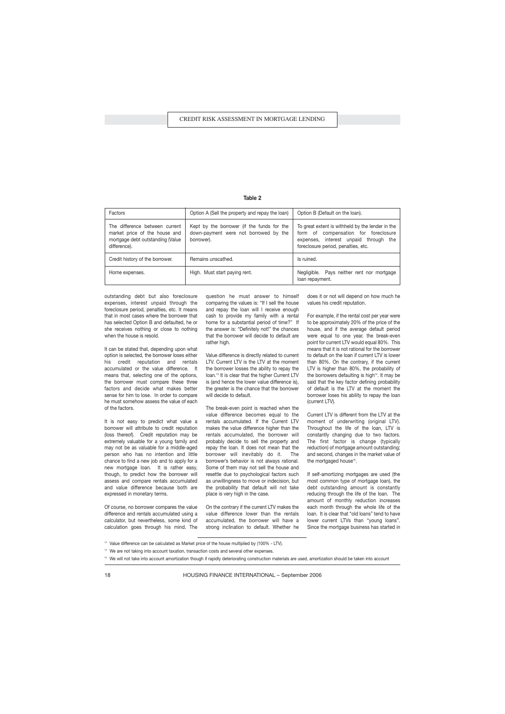|--|--|--|

| Factors                                                                                                             | Option A (Sell the property and repay the loan)                                                   | Option B (Default on the loan).                                                                                                                                          |
|---------------------------------------------------------------------------------------------------------------------|---------------------------------------------------------------------------------------------------|--------------------------------------------------------------------------------------------------------------------------------------------------------------------------|
| The difference between current<br>market price of the house and<br>mortgage debt outstanding (Value<br>difference). | Kept by the borrower (if the funds for the<br>down-payment were not borrowed by the<br>borrower). | To great extent is withheld by the lender in the<br>form of compensation for foreclosure<br>expenses, interest unpaid through the<br>foreclosure period, penalties, etc. |
| Credit history of the borrower.                                                                                     | Remains unscathed.                                                                                | Is ruined.                                                                                                                                                               |
| Home expenses.                                                                                                      | High. Must start paying rent.                                                                     | Negligible. Pays neither rent nor mortgage<br>loan repayment.                                                                                                            |

outstanding debt but also foreclosure expenses, interest unpaid through the foreclosure period, penalties, etc. It means that in most cases where the borrower that has selected Option B and defaulted, he or she receives nothing or close to nothing when the house is resold.

It can be stated that, depending upon what option is selected, the borrower loses either his credit reputation and rentals accumulated or the value difference. It means that, selecting one of the options, the borrower must compare these three factors and decide what makes better sense for him to lose. In order to compare he must somehow assess the value of each of the factors.

It is not easy to predict what value a borrower will attribute to credit reputation (loss thereof). Credit reputation may be extremely valuable for a young family and may not be as valuable for a middle-aged person who has no intention and little chance to find a new job and to apply for a new mortgage loan. It is rather easy, though, to predict how the borrower will assess and compare rentals accumulated and value difference because both are expressed in monetary terms.

Of course, no borrower compares the value difference and rentals accumulated using a calculator, but nevertheless, some kind of calculation goes through his mind. The question he must answer to himself comparing the values is: "If I sell the house and repay the loan will I receive enough cash to provide my family with a rental home for a substantial period of time?" If the answer is: "Definitely not!" the chances that the borrower will decide to default are rather high.

Value difference is directly related to current LTV. Current LTV is the LTV at the moment the borrower losses the ability to repay the loan.<sup>13</sup> It is clear that the higher Current LTV is (and hence the lower value difference is), the greater is the chance that the borrower will decide to default.

The break-even point is reached when the value difference becomes equal to the rentals accumulated. If the Current LTV makes the value difference higher than the rentals accumulated, the borrower will probably decide to sell the property and repay the loan. It does not mean that the borrower will inevitably do it. The borrower's behavior is not always rational. Some of them may not sell the house and resettle due to psychological factors such as unwillingness to move or indecision, but the probability that default will not take place is very high in the case.

On the contrary if the current LTV makes the value difference lower than the rentals accumulated, the borrower will have a strong inclination to default. Whether he

does it or not will depend on how much he values his credit reputation.

For example, if the rental cost per year were to be approximately 20% of the price of the house, and if the average default period were equal to one year, the break-even point for current LTV would equal 80%. This means that it is not rational for the borrower to default on the loan if current LTV is lower than 80%. On the contrary, if the current LTV is higher than 80%, the probability of the borrowers defaulting is high<sup>14</sup>. It may be said that the key factor defining probability of default is the LTV at the moment the borrower loses his ability to repay the loan (current LTV).

Current LTV is different from the LTV at the moment of underwriting (original LTV). Throughout the life of the loan, LTV is constantly changing due to two factors. The first factor is change (typically reduction) of mortgage amount outstanding; and second, changes in the market value of the mortgaged house<sup>15</sup>.

If self-amortizing mortgages are used (the most common type of mortgage loan), the debt outstanding amount is constantly reducing through the life of the loan. The amount of monthly reduction increases each month through the whole life of the loan. It is clear that "old loans" tend to have lower current LTVs than "young loans". Since the mortgage business has started in

<sup>13</sup> Value difference can be calculated as Market price of the house multiplied by (100% - LTV).

<sup>14</sup> We are not taking into account taxation, transaction costs and several other expenses.

<sup>&</sup>lt;sup>15</sup> We will not take into account amortization though if rapidly deteriorating construction materials are used, amortization should be taken into account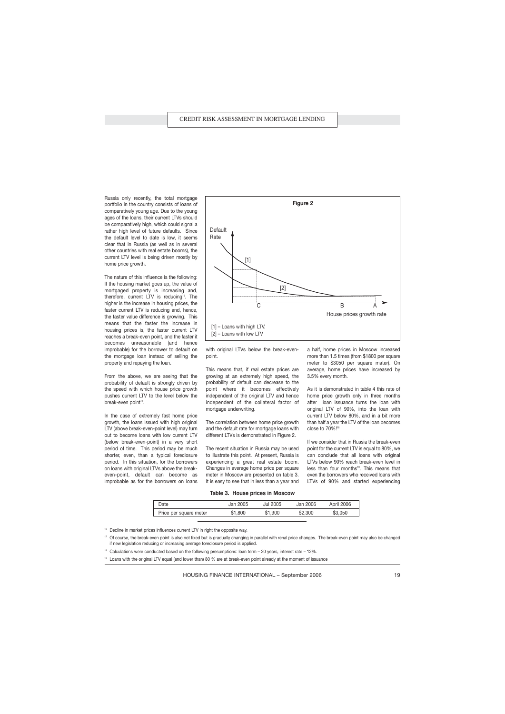Russia only recently, the total mortgage portfolio in the country consists of loans of comparatively young age. Due to the young ages of the loans, their current LTVs should be comparatively high, which could signal a rather high level of future defaults. Since the default level to date is low, it seems clear that in Russia (as well as in several other countries with real estate booms), the current LTV level is being driven mostly by home price growth.

The nature of this influence is the following: If the housing market goes up, the value of mortgaged property is increasing and, therefore, current LTV is reducing<sup>16</sup>. The higher is the increase in housing prices, the faster current LTV is reducing and, hence, the faster value difference is growing. This means that the faster the increase in housing prices is, the faster current LTV reaches a break-even point, and the faster it becomes unreasonable (and hence improbable) for the borrower to default on the mortgage loan instead of selling the property and repaying the loan.

From the above, we are seeing that the probability of default is strongly driven by the speed with which house price growth pushes current LTV to the level below the break-even point<sup>17</sup>.

In the case of extremely fast home price growth, the loans issued with high original LTV (above break-even-point level) may turn out to become loans with low current LTV (below break-even-point) in a very short period of time. This period may be much shorter, even, than a typical foreclosure period. In this situation, for the borrowers on loans with original LTVs above the breakeven-point, default can become as improbable as for the borrowers on loans



with original LTVs below the break-evenpoint.

This means that, if real estate prices are growing at an extremely high speed, the probability of default can decrease to the point where it becomes effectively independent of the original LTV and hence independent of the collateral factor of mortgage underwriting.

The correlation between home price growth and the default rate for mortgage loans with different LTVs is demonstrated in Figure 2.

The recent situation in Russia may be used to illustrate this point. At present, Russia is experiencing a great real estate boom. Changes in average home price per square meter in Moscow are presented on table 3. It is easy to see that in less than a year and a half, home prices in Moscow increased more than 1.5 times (from \$1800 per square meter to \$3050 per square mater). On average, home prices have increased by 3.5% every month.

As it is demonstrated in table 4 this rate of home price growth only in three months after loan issuance turns the loan with original LTV of 90%, into the loan with current LTV below 80%, and in a bit more than half a year the LTV of the loan becomes close to 70%!<sup>18</sup>

If we consider that in Russia the break-even point for the current LTV is equal to 80%, we can conclude that all loans with original LTVs below 90% reach break-even level in less than four months<sup>19</sup>. This means that even the borrowers who received loans with LTVs of 90% and started experiencing

#### **Table 3. House prices in Moscow**

| Jate                         | 2005      | 2005        | 2006       | 2006  |
|------------------------------|-----------|-------------|------------|-------|
|                              | uai       | ، ، ، ،     | Jar.       | `or⊪. |
| square meter<br>oer<br>'rice | 800<br>Œ. | .900<br>۰D. | .300<br>ءα | 151   |

- <sup>16</sup> Decline in market prices influences current LTV in right the opposite way.
- <sup>17</sup> Of course, the break-even point is also not fixed but is gradually changing in parallel with renal price changes. The break-even point may also be changed if new legislation reducing or increasing average foreclosure period is applied.
- <sup>18</sup> Calculations were conducted based on the following presumptions: loan term 20 years, interest rate 12%.
- <sup>19</sup> Loans with the original LTV equal (and lower than) 80 % are at break-even point already at the moment of issuance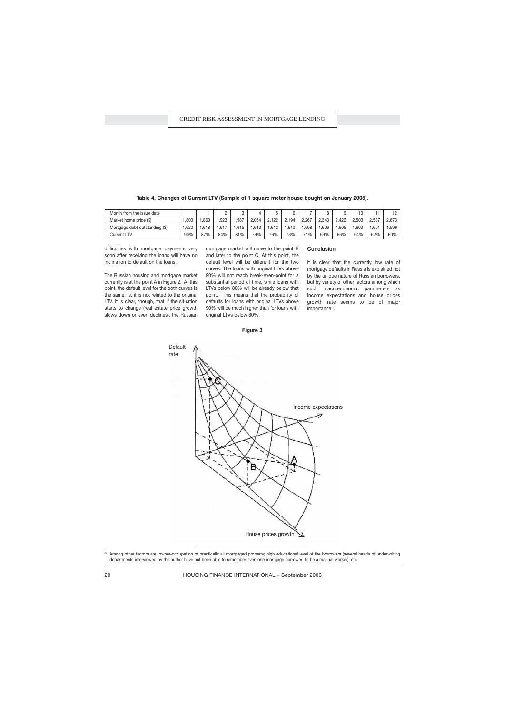| Month from the issue date      |      |      | c    |      |       |       |      |       |       |       |       |       | $\overline{1}$ |
|--------------------------------|------|------|------|------|-------|-------|------|-------|-------|-------|-------|-------|----------------|
| Market home price (\$)         | .800 | .860 | .923 | .987 | 2.054 | 2.122 | .194 | 2.267 | 2.343 | 2.422 | 2.503 | 2.587 | 2.673          |
| Mortgage debt outstanding (\$) | .620 | .618 | .617 | .615 | .613  | .612  | .610 | .608  | .606  | .605  | .603  | .601  | .599           |
| Current LTV                    | 90%  | 87%  | 84%  | 81%  | 79%   | 76%   | 73%  | 71%   | 69%   | 66%   | 64%   | 62%   | 60%            |

**Conclusion**

importance<sup>20</sup>.

It is clear that the currently low rate of mortgage defaults in Russia is explained not by the unique nature of Russian borrowers, but by variety of other factors among which such macroeconomic parameters as income expectations and house prices growth rate seems to be of major

**Table 4. Changes of Current LTV (Sample of 1 square meter house bought on January 2005).**

difficulties with mortgage payments very soon after receiving the loans will have no inclination to default on the loans.

The Russian housing and mortgage market currently is at the point A in Figure 2. At this point, the default level for the both curves is the same, ie, it is not related to the original LTV. It is clear, though, that if the situation starts to change (real estate price growth slows down or even declines), the Russian mortgage market will move to the point B and later to the point C. At this point, the default level will be different for the two curves. The loans with original LTVs above 90% will not reach break-even-point for a substantial period of time, while loans with LTVs below 80% will be already below that point. This means that the probability of defaults for loans with original LTVs above 90% will be much higher than for loans with original LTVs below 80%.



**Figure 3**

20 Among other factors are: owner-occupation of practically all mortgaged property; high educational level of the borrowers (several heads of underwriting departments interviewed by the author have not been able to remember even one mortgage borrower to be a manual worker), etc.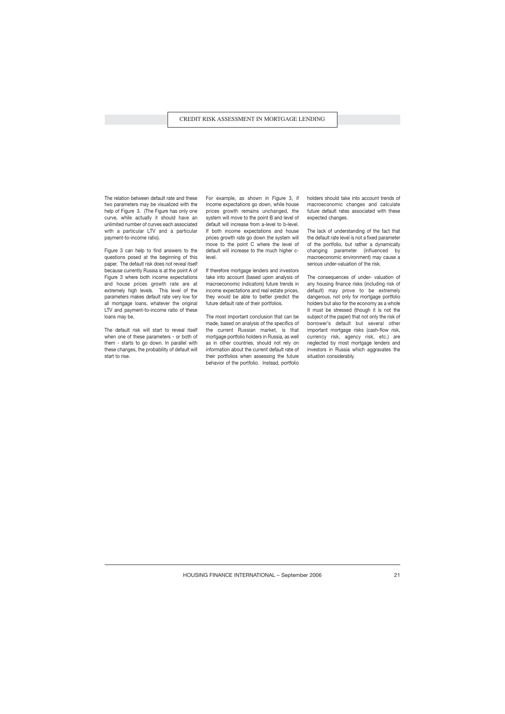The relation between default rate and these two parameters may be visualized with the help of Figure 3. (The Figure has only one curve, while actually it should have an unlimited number of curves each associated with a particular LTV and a particular payment-to-income ratio).

Figure 3 can help to find answers to the questions posed at the beginning of this paper. The default risk does not reveal itself because currently Russia is at the point A of Figure 3 where both income expectations and house prices growth rate are at extremely high levels. This level of the parameters makes default rate very low for all mortgage loans, whatever the original LTV and payment-to-income ratio of these loans may be.

The default risk will start to reveal itself when one of these parameters - or both of them - starts to go down. In parallel with these changes, the probability of default will start to rise.

For example, as shown in Figure 3, if income expectations go down, while house prices growth remains unchanged, the system will move to the point B and level of default will increase from a-level to b-level. If both income expectations and house prices growth rate go down the system will move to the point C where the level of default will increase to the much higher clevel.

If therefore mortgage lenders and investors take into account (based upon analysis of macroeconomic indicators) future trends in income expectations and real estate prices, they would be able to better predict the future default rate of their portfolios.

The most important conclusion that can be made, based on analysis of the specifics of the current Russian market, is that mortgage portfolio holders in Russia, as well as in other countries, should not rely on information about the current default rate of their portfolios when assessing the future behavior of the portfolio. Instead, portfolio

holders should take into account trends of macroeconomic changes and calculate future default rates associated with these expected changes.

The lack of understanding of the fact that the default rate level is not a fixed parameter of the portfolio, but rather a dynamically changing parameter (influenced by macroeconomic environment) may cause a serious under-valuation of the risk.

The consequences of under- valuation of any housing finance risks (including risk of default) may prove to be extremely dangerous, not only for mortgage portfolio holders but also for the economy as a whole It must be stressed (though it is not the subject of the paper) that not only the risk of borrower's default but several other important mortgage risks (cash-flow risk, currency risk, agency risk, etc.) are neglected by most mortgage lenders and investors in Russia which aggravates the situation considerably.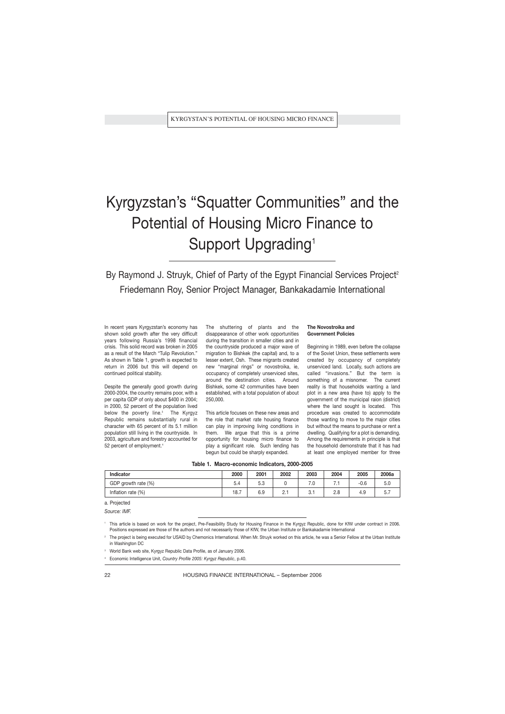# Kyrgyzstan's "Squatter Communities" and the Potential of Housing Micro Finance to Support Upgrading<sup>1</sup>

By Raymond J. Struyk, Chief of Party of the Egypt Financial Services Project<sup>2</sup> Friedemann Roy, Senior Project Manager, Bankakadamie International

In recent years Kyrgyzstan's economy has shown solid growth after the very difficult years following Russia's 1998 financial crisis. This solid record was broken in 2005 as a result of the March "Tulip Revolution." As shown in Table 1, growth is expected to return in 2006 but this will depend on continued political stability.

Despite the generally good growth during 2000-2004, the country remains poor, with a per capita GDP of only about \$400 in 2004; in 2000, 52 percent of the population lived below the poverty line.<sup>3</sup> The Kyrgyz Republic remains substantially rural in character with 65 percent of its 5.1 million population still living in the countryside. In 2003, agriculture and forestry accounted for 52 percent of employment.<sup>4</sup>

The shuttering of plants and the disappearance of other work opportunities during the transition in smaller cities and in the countryside produced a major wave of migration to Bishkek (the capital) and, to a lesser extent, Osh. These migrants created new "marginal rings" or novostroika, ie, occupancy of completely unserviced sites, around the destination cities. Around Bishkek, some 42 communities have been established, with a total population of about 250,000.

This article focuses on these new areas and the role that market rate housing finance can play in improving living conditions in them. We argue that this is a prime opportunity for housing micro finance to play a significant role. Such lending has begun but could be sharply expanded.

### **The Novostroika and Government Policies**

Beginning in 1989, even before the collapse of the Soviet Union, these settlements were created by occupancy of completely unserviced land. Locally, such actions are called "invasions." But the term is something of a misnomer. The current reality is that households wanting a land plot in a new area (have to) apply to the government of the municipal raion (district) where the land sought is located. This procedure was created to accommodate those wanting to move to the major cities but without the means to purchase or rent a dwelling. Qualifying for a plot is demanding. Among the requirements in principle is that the household demonstrate that it has had at least one employed member for three

|  | Table 1. Macro-economic Indicators, 2000-2005 |  |  |
|--|-----------------------------------------------|--|--|
|--|-----------------------------------------------|--|--|

| <b>Indicator</b>    | 2000 | 2001     | 2002       | 2003    | 2004       | 2005   | 2006a |
|---------------------|------|----------|------------|---------|------------|--------|-------|
| GDP growth rate (%) | 5.4  | 52<br>.ა |            | v       | -          | $-0.6$ | ว.บ   |
| Inflation rate (%)  | 18.7 | 6.9      | <u>.</u> . | C<br>ပ. | o c<br>۵.۵ | 4.9    | ، ب   |

a. Projected

*Source: IMF.*

<sup>1</sup> This article is based on work for the project, Pre-Feasibility Study for Housing Finance in the Kyrgyz Republic, done for KfW under contract in 2006. Positions expressed are those of the authors and not necessarily those of KfW, the Urban Institute or Bankakadamie International

The project is being executed for USAID by Chemonics International. When Mr. Struyk worked on this article, he was a Senior Fellow at the Urban Institute in Washington DC

<sup>3</sup> World Bank web site, Kyrgyz Republic Data Profile, as of January 2006.

<sup>4</sup> Economic Intelligence Unit, *Country Profile 2005: Kyrgyz Republic*, p.40.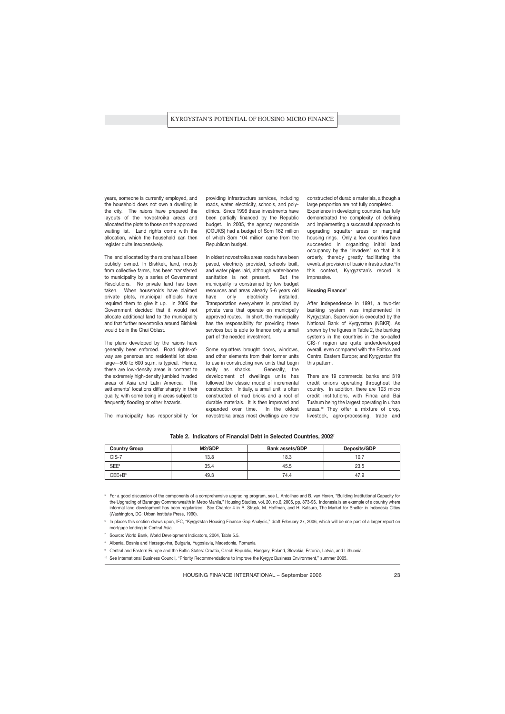years, someone is currently employed, and the household does not own a dwelling in the city. The raions have prepared the layouts of the novostroika areas and allocated the plots to those on the approved waiting list. Land rights come with the allocation, which the household can then register quite inexpensively.

The land allocated by the raions has all been publicly owned. In Bishkek, land, mostly from collective farms, has been transferred to municipality by a series of Government Resolutions. No private land has been taken. When households have claimed private plots, municipal officials have required them to give it up. In 2006 the Government decided that it would not allocate additional land to the municipality and that further novostroika around Bishkek would be in the Chui Oblast.

The plans developed by the raions have generally been enforced. Road rights-ofway are generous and residential lot sizes large—500 to 600 sq.m. is typical. Hence, these are low-density areas in contrast to the extremely high-density jumbled invaded areas of Asia and Latin America. The settlements' locations differ sharply in their quality, with some being in areas subject to frequently flooding or other hazards.

The municipality has responsibility for

providing infrastructure services, including roads, water, electricity, schools, and polyclinics. Since 1996 these investments have been partially financed by the Republic budget. In 2005, the agency responsible (OGUKS) had a budget of Som 162 million of which Som 104 million came from the Republican budget.

In oldest novostroika areas roads have been paved, electricity provided, schools built, and water pipes laid, although water-borne sanitation is not present. But the municipality is constrained by low budget resources and areas already 5-6 years old have only electricity installed. Transportation everywhere is provided by private vans that operate on municipally approved routes. In short, the municipality has the responsibility for providing these services but is able to finance only a small part of the needed investment.

Some squatters brought doors, windows, and other elements from their former units to use in constructing new units that begin really as shacks. Generally, the development of dwellings units has followed the classic model of incremental construction. Initially, a small unit is often constructed of mud bricks and a roof of durable materials. It is then improved and expanded over time. In the oldest novostroika areas most dwellings are now

constructed of durable materials, although a large proportion are not fully completed.

Experience in developing countries has fully demonstrated the complexity of defining and implementing a successful approach to upgrading squatter areas or marginal housing rings. Only a few countries have succeeded in organizing initial land occupancy by the "invaders" so that it is orderly, thereby greatly facilitating the eventual provision of basic infrastructure.<sup>5</sup> In this context, Kyrgyzstan's record is impressive.

#### **Housing Finance**<sup>6</sup>

After independence in 1991, a two-tier banking system was implemented in Kyrgyzstan. Supervision is executed by the National Bank of Kyrgyzstan (NBKR). As shown by the figures in Table 2, the banking systems in the countries in the so-called CIS-7 region are quite underdeveloped overall, even compared with the Baltics and Central Eastern Europe; and Kyrgyzstan fits this pattern.

There are 19 commercial banks and 319 credit unions operating throughout the country. In addition, there are 103 micro credit institutions, with Finca and Bai Tushum being the largest operating in urban areas.<sup>10</sup> They offer a mixture of crop, livestock, agro-processing, trade and

| <b>Country Group</b> | M2/GDP | <b>Bank assets/GDP</b> | Deposits/GDP |
|----------------------|--------|------------------------|--------------|
| CIS-7                | 13.8   | 18.3                   | 10.7         |
| SEE <sup>8</sup>     | 35.4   | 45.5                   | 23.5         |
| $CEE+B9$             | 49.3   | 74.4                   | 47.9         |

**Table 2. Indicators of Financial Debt in Selected Countries, 2002**<sup>7</sup>

<sup>5</sup> For a good discussion of the components of a comprehensive upgrading program, see L. Antolihao and B. van Horen, "Building Institutional Capacity for the Upgrading of Barangay Commonwealth in Metro Manila," Housing Studies, vol. 20, no.6, 2005, pp. 873-96. Indonesia is an example of a country where informal land development has been regularized. See Chapter 4 in R. Struyk, M. Hoffman, and H. Katsura, The Market for Shelter in Indonesia Cities (Washington, DC: Urban Institute Press, 1990).

6 In places this section draws upon, IFC, "Kyrgyzstan Housing Finance Gap Analysis," draft February 27, 2006, which will be one part of a larger report on mortgage lending in Central Asia.

- <sup>7</sup> Source: World Bank, World Development Indicators, 2004, Table 5.5.
- <sup>8</sup> Albania, Bosnia and Herzegovina, Bulgaria, Yugoslavia, Macedonia, Romania
- <sup>9</sup> Central and Eastern Europe and the Baltic States: Croatia, Czech Republic, Hungary, Poland, Slovakia, Estonia, Latvia, and Lithuania.
- 10 See International Business Council, "Priority Recommendations to Improve the Kyrgyz Business Environment," summer 2005.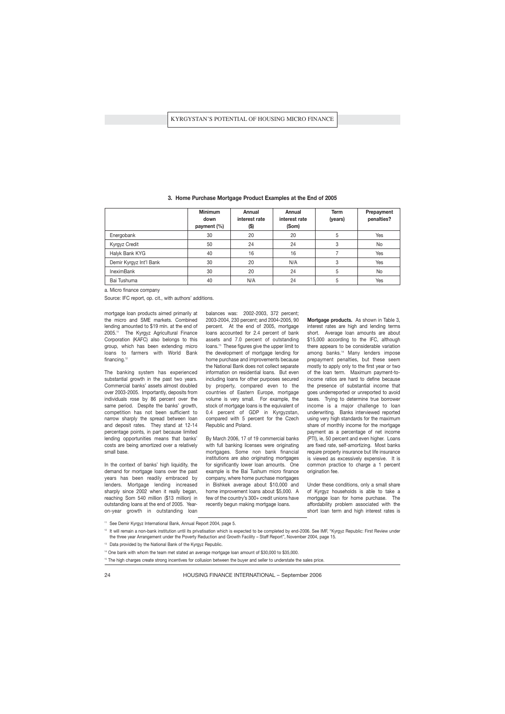|                         | <b>Minimum</b><br>down<br>payment (%) | Annual<br>interest rate<br>(\$) | <b>Annual</b><br>interest rate<br>(Som) | <b>Term</b><br>(years) | Prepayment<br>penalties? |
|-------------------------|---------------------------------------|---------------------------------|-----------------------------------------|------------------------|--------------------------|
| Energobank              | 30                                    | 20                              | 20                                      | 5                      | Yes                      |
| Kyrgyz Credit           | 50                                    | 24                              | 24                                      | 3                      | <b>No</b>                |
| Halyk Bank KYG          | 40                                    | 16                              | 16                                      |                        | Yes                      |
| Demir Kyrgyz Int'l Bank | 30                                    | 20                              | N/A                                     | 3                      | Yes                      |
| <b>IneximBank</b>       | 30                                    | 20                              | 24                                      | 5                      | No                       |
| Bai Tushuma             | 40                                    | N/A                             | 24                                      | 5                      | Yes                      |

| 3. Home Purchase Mortgage Product Examples at the End of 2005 |  |  |  |
|---------------------------------------------------------------|--|--|--|
|                                                               |  |  |  |

a. Micro finance company

Source: IFC report, op. cit., with authors' additions.

mortgage loan products aimed primarily at the micro and SME markets. Combined lending amounted to \$19 mln. at the end of 2005.<sup>11</sup> The Kyrgyz Agricultural Finance Corporation (KAFC) also belongs to this group, which has been extending micro loans to farmers with World Bank financing.<sup>12</sup>

The banking system has experienced substantial growth in the past two years. Commercial banks' assets almost doubled over 2003-2005. Importantly, deposits from individuals rose by 86 percent over the same period. Despite the banks' growth, competition has not been sufficient to narrow sharply the spread between loan and deposit rates. They stand at 12-14 percentage points, in part because limited lending opportunities means that banks' costs are being amortized over a relatively small base.

In the context of banks' high liquidity, the demand for mortgage loans over the past years has been readily embraced by lenders. Mortgage lending increased sharply since 2002 when it really began, reaching Som 540 million (\$13 million) in outstanding loans at the end of 2005. Yearon-year growth in outstanding loan balances was: 2002-2003, 372 percent; 2003-2004, 230 percent; and 2004-2005, 90 percent. At the end of 2005, mortgage loans accounted for 2.4 percent of bank assets and 7.0 percent of outstanding loans.<sup>13</sup> These figures give the upper limit to the development of mortgage lending for home purchase and improvements because the National Bank does not collect separate information on residential loans. But even including loans for other purposes secured by property, compared even to the countries of Eastern Europe, mortgage volume is very small. For example, the stock of mortgage loans is the equivalent of 0.4 percent of GDP in Kyrgyzstan, compared with 5 percent for the Czech Republic and Poland.

By March 2006, 17 of 19 commercial banks with full banking licenses were originating mortgages. Some non bank financial institutions are also originating mortgages for significantly lower loan amounts. One example is the Bai Tushum micro finance company, where home purchase mortgages in Bishkek average about \$10,000 and home improvement loans about \$5,000. A few of the country's 300+ credit unions have recently begun making mortgage loans.

**Mortgage products.** As shown in Table 3, interest rates are high and lending terms short. Average loan amounts are about \$15,000 according to the IFC, although there appears to be considerable variation among banks.<sup>14</sup> Many lenders impose prepayment penalties, but these seem mostly to apply only to the first year or two of the loan term. Maximum payment-toincome ratios are hard to define because the presence of substantial income that goes underreported or unreported to avoid taxes. Trying to determine true borrower income is a major challenge to loan underwriting. Banks interviewed reported using very high standards for the maximum share of monthly income for the mortgage payment as a percentage of net income (PTI), ie, 50 percent and even higher. Loans are fixed rate, self-amortizing. Most banks require property insurance but life insurance is viewed as excessively expensive. It is common practice to charge a 1 percent origination fee.

Under these conditions, only a small share of Kyrgyz households is able to take a mortgage loan for home purchase. The affordability problem associated with the short loan term and high interest rates is

<sup>12</sup> It will remain a non-bank institution until its privatisation which is expected to be completed by end-2006. See IMF, "Kyrgyz Republic: First Review under the three year Arrangement under the Poverty Reduction and Growth Facility – Staff Report", November 2004, page 15.

<sup>13</sup> Data provided by the National Bank of the Kyrgyz Republic.

<sup>15</sup> The high charges create strong incentives for collusion between the buyer and seller to understate the sales price.

<sup>&</sup>lt;sup>11</sup> See Demir Kyrgyz International Bank, Annual Report 2004, page 5.

<sup>14</sup> One bank with whom the team met stated an average mortgage loan amount of \$30,000 to \$35,000.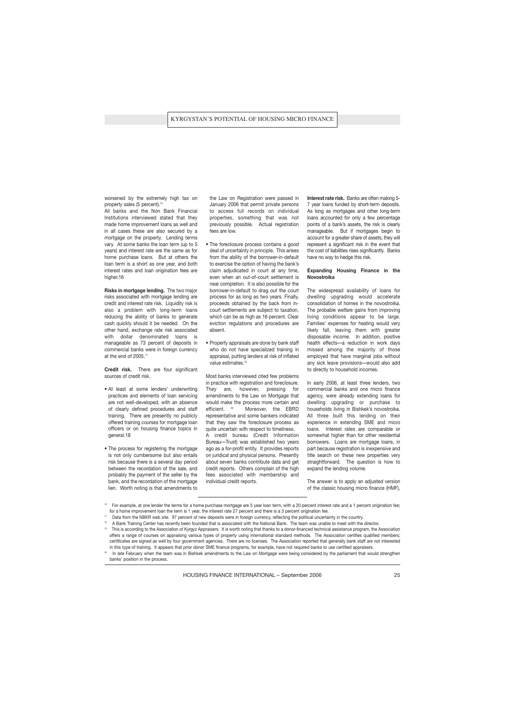worsened by the extremely high tax on property sales (5 percent).<sup>15</sup>

All banks and the Non Bank Financial Institutions interviewed stated that they made home improvement loans as well and in all cases these are also secured by a mortgage on the property. Lending terms vary. At some banks the loan term (up to 5 years) and interest rate are the same as for home purchase loans. But at others the loan term is a short as one year, and both interest rates and loan origination fees are higher.16

**Risks in mortgage lending.** The two major risks associated with mortgage lending are credit and interest rate risk. Liquidity risk is also a problem with long-term loans reducing the ability of banks to generate cash quickly should it be needed. On the other hand, exchange rate risk associated with dollar denominated loans is manageable as 73 percent of deposits in commercial banks were in foreign currency at the end of 2005.<sup>17</sup>

**Credit risk.** There are four significant sources of credit risk.

- At least at some lenders' underwriting practices and elements of loan servicing are not well-developed, with an absence of clearly defined procedures and staff training. There are presently no publicly offered training courses for mortgage loan officers or on housing finance topics in general.18
- The process for registering the mortgage is not only cumbersome but also entails risk because there is a several day period between the recordation of the sale, and probably the payment of the seller by the bank, and the recordation of the mortgage lien. Worth noting is that amendments to

the Law on Registration were passed in January 2006 that permit private persons to access full records on individual properties, something that was not previously possible. Actual registration fees are low.

- The foreclosure process contains a good deal of uncertainty in principle. This arises from the ability of the borrower-in-default to exercise the option of having the bank's claim adjudicated in court at any time, even when an out-of-court settlement is near completion. It is also possible for the borrower-in-default to drag out the court process for as long as two years. Finally, proceeds obtained by the back from incourt settlements are subject to taxation, which can be as high as 16 percent. Clear eviction regulations and procedures are absent.
- Property appraisals are done by bank staff who do not have specialized training in appraisal, putting lenders at risk of inflated value estimates.<sup>19</sup>

Most banks interviewed cited few problems in practice with registration and foreclosure. They are, however, pressing for amendments to the Law on Mortgage that would make the process more certain and efficient. <sup>20</sup> Moreover, the EBRD representative and some bankers indicated that they saw the foreclosure process as quite uncertain with respect to timeliness. A credit bureau (Credit Information Bureau—Trust) was established two years ago as a for-profit entity. It provides reports on juridical and physical persons. Presently about seven banks contribute data and get credit reports. Others complain of the high fees associated with membership and individual credit reports.

**Interest rate risk.** Banks are often making 5- 7 year loans funded by short-term deposits. As long as mortgages and other long-term loans accounted for only a few percentage points of a bank's assets, the risk is clearly manageable. But if mortgages begin to account for a greater share of assets, they will represent a significant risk in the event that the cost of liabilities rises significantly. Banks have no way to hedge this risk.

## **Expanding Housing Finance in the Novostroika**

The widespread availability of loans for dwelling upgrading would accelerate consolidation of homes in the novostroika. The probable welfare gains from improving living conditions appear to be large. Families' expenses for heating would very likely fall, leaving them with greater disposable income. In addition, positive health effects—a reduction in work days missed among the majority of those employed that have marginal jobs without any sick leave provisions—would also add to directly to household incomes.

In early 2006, at least three lenders, two commercial banks and one micro finance agency, were already extending loans for dwelling upgrading or purchase to households living in Bishkek's novostroika. All three built this lending on their experience in extending SME and micro loans. Interest rates are comparable or somewhat higher than for other residential borrowers. Loans are mortgage loans, in part because registration is inexpensive and title search on these new properties very straightforward. The question is how to expand the lending volume.

The answer is to apply an adjusted version of the classic housing micro finance (HMF),

<sup>&</sup>lt;sup>16</sup> For example, at one lender the terms for a home purchase mortgage are 5 year loan term, with a 20 percent interest rate and a 1 percent origination fee; for a home improvement loan the term is 1 year, the interest rate 27 percent and there is a 3 percent origination fee.

Data from the NBKR web site. 97 percent of new deposits were in foreign currency, reflecting the political uncertainty in the country.

<sup>&</sup>lt;sup>18</sup> A Bank Training Center has recently been founded that is associated with the National Bank. The team was unable to meet with the director.

<sup>&</sup>lt;sup>19</sup> This is according to the Association of Kyrgyz Appraisers. It is worth noting that thanks to a donor-financed technical assistance program, the Association offers a range of courses on appraising various types of property using international standard methods. The Association certifies qualified members; certificates are signed as well by four government agencies. There are no licenses. The Association reported that generally bank staff are not interested in this type of training. It appears that prior donor SME finance programs, for example, have not required banks to use certified appraisers.

In late February when the team was in Bishkek amendments to the Law on Mortgage were being considered by the parliament that would strengthen banks' position in the process.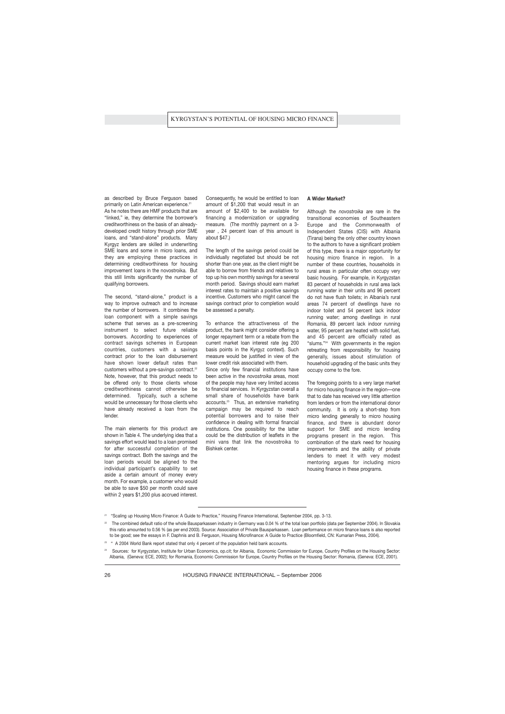as described by Bruce Ferguson based primarily on Latin American experience.<sup>21</sup> As he notes there are HMF products that are "linked," ie, they determine the borrower's creditworthiness on the basis of an alreadydeveloped credit history through prior SME loans, and "stand-alone" products. Many Kyrgyz lenders are skilled in underwriting SME loans and some in micro loans, and they are employing these practices in determining creditworthiness for housing improvement loans in the novostroika. But this still limits significantly the number of qualifying borrowers.

The second, "stand-alone," product is a way to improve outreach and to increase the number of borrowers. It combines the loan component with a simple savings scheme that serves as a pre-screening instrument to select future reliable borrowers. According to experiences of contract savings schemes in European countries, customers with a savings contract prior to the loan disbursement have shown lower default rates than customers without a pre-savings contract.<sup>22</sup> Note, however, that this product needs to be offered only to those clients whose creditworthiness cannot otherwise be determined. Typically, such a scheme would be unnecessary for those clients who have already received a loan from the lender.

The main elements for this product are shown in Table 4. The underlying idea that a savings effort would lead to a loan promised for after successful completion of the savings contract. Both the savings and the loan periods would be aligned to the individual participant's capability to set aside a certain amount of money every month. For example, a customer who would be able to save \$50 per month could save within 2 years \$1,200 plus accrued interest. Consequently, he would be entitled to loan amount of \$1,200 that would result in an amount of \$2,400 to be available for financing a modernization or upgrading measure. (The monthly payment on a 3 year , 24 percent loan of this amount is about \$47.)

The length of the savings period could be individually negotiated but should be not shorter than one year, as the client might be able to borrow from friends and relatives to top up his own monthly savings for a several month period. Savings should earn market interest rates to maintain a positive savings incentive. Customers who might cancel the savings contract prior to completion would be assessed a penalty.

To enhance the attractiveness of the product, the bank might consider offering a longer repayment term or a rebate from the current market loan interest rate (eg 200 basis points in the Kyrgyz context). Such measure would be justified in view of the lower credit risk associated with them. Since only few financial institutions have

been active in the *novostroika* areas, most of the people may have very limited access to financial services. In Kyrgyzstan overall a small share of households have bank accounts.<sup>23</sup> Thus, an extensive marketing campaign may be required to reach potential borrowers and to raise their confidence in dealing with formal financial institutions. One possibility for the latter could be the distribution of leaflets in the mini vans that link the novostroika to Bishkek center.

## **A Wider Market?**

Although the *novostroika* are rare in the transitional economies of Southeastern Europe and the Commonwealth of Independent States (CIS) with Albania (Tirana) being the only other country known to the authors to have a significant problem of this type, there is a major opportunity for housing micro finance in region. In a number of these countries, households in rural areas in particular often occupy very basic housing. For example, in Kyrgyzstan 83 percent of households in rural area lack running water in their units and 96 percent do not have flush toilets; in Albania's rural areas 74 percent of dwellings have no indoor toilet and 54 percent lack indoor running water; among dwellings in rural Romania, 89 percent lack indoor running water, 95 percent are heated with solid fuel, and 45 percent are officially rated as "slums."<sup>24</sup> With governments in the region retreating from responsibility for housing generally, issues about stimulation of household upgrading of the basic units they occupy come to the fore.

The foregoing points to a very large market for micro housing finance in the region—one that to date has received very little attention from lenders or from the international donor community. It is only a short-step from micro lending generally to micro housing finance, and there is abundant donor support for SME and micro lending programs present in the region. This combination of the stark need for housing improvements and the ability of private lenders to meet it with very modest mentoring argues for including micro housing finance in these programs.

 $23$  " A 2004 World Bank report stated that only 4 percent of the population held bank accounts.

<sup>21</sup> "Scaling up Housing Micro Finance: A Guide to Practice," Housing Finance International, September 2004, pp. 3-13.

<sup>22</sup> The combined default ratio of the whole Bausparkassen industry in Germany was 0.04 % of the total loan portfolio (data per September 2004). In Slovakia this ratio amounted to 0.56 % (as per end 2003). Source: Association of Private Bausparkassen. Loan performance on micro finance loans is also reported to be good; see the essays in F. Daphnis and B. Ferguson, Housing Microfinance: A Guide to Practice (Bloomfield, CN: Kumarian Press, 2004).

Sources: for Kyrgyzstan, Institute for Urban Economics, op.cit; for Albania, Economic Commission for Europe, Country Profiles on the Housing Sector: Albania, (Geneva: ECE, 2002); for Romania, Economic Commission for Europe, Country Profiles on the Housing Sector: Romania, (Geneva: ECE, 2001).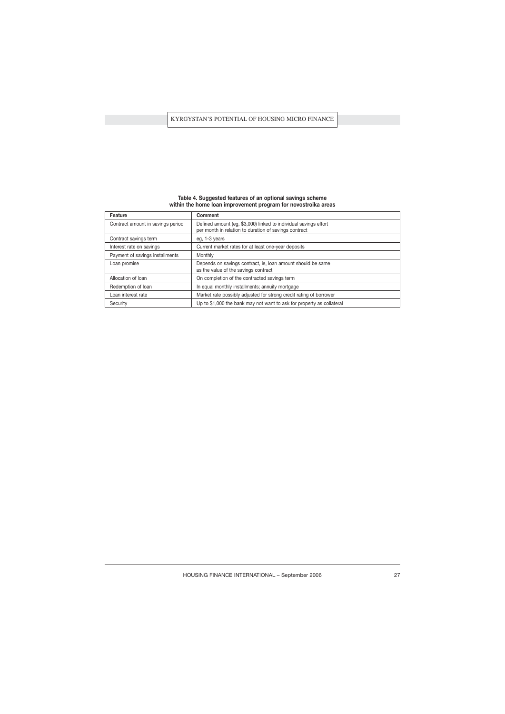| Feature                           | <b>Comment</b>                                                                                                            |
|-----------------------------------|---------------------------------------------------------------------------------------------------------------------------|
| Contract amount in savings period | Defined amount (eg, \$3,000) linked to individual savings effort<br>per month in relation to duration of savings contract |
| Contract savings term             | eg, 1-3 years                                                                                                             |
| Interest rate on savings          | Current market rates for at least one-year deposits                                                                       |
| Payment of savings installments   | Monthly                                                                                                                   |
| Loan promise                      | Depends on savings contract, ie, loan amount should be same<br>as the value of the savings contract                       |
| Allocation of loan                | On completion of the contracted savings term                                                                              |
| Redemption of loan                | In equal monthly installments; annuity mortgage                                                                           |
| Loan interest rate                | Market rate possibly adjusted for strong credit rating of borrower                                                        |

Security Security Up to \$1,000 the bank may not want to ask for property as collateral

## **Table 4. Suggested features of an optional savings scheme within the home loan improvement program for novostroika areas**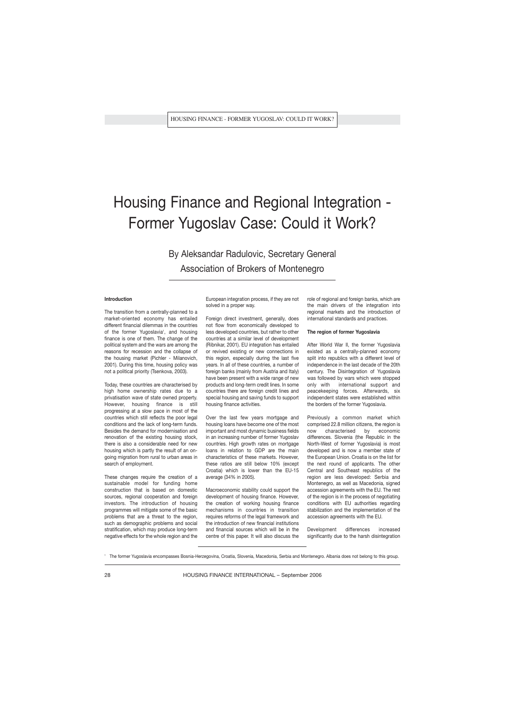## Housing Finance and Regional Integration - Former Yugoslav Case: Could it Work?

By Aleksandar Radulovic, Secretary General Association of Brokers of Montenegro

## **Introduction**

The transition from a centrally-planned to a market-oriented economy has entailed different financial dilemmas in the countries of the former Yugoslavia<sup>1</sup>, and housing finance is one of them. The change of the political system and the wars are among the reasons for recession and the collapse of the housing market (Pichler - Milanovich, 2001). During this time, housing policy was not a political priority (Tsenkova, 2003).

Today, these countries are characterised by high home ownership rates due to a privatisation wave of state owned property. However, housing finance is still progressing at a slow pace in most of the countries which still reflects the poor legal conditions and the lack of long-term funds. Besides the demand for modernisation and renovation of the existing housing stock, there is also a considerable need for new housing which is partly the result of an ongoing migration from rural to urban areas in search of employment.

These changes require the creation of a sustainable model for funding home construction that is based on domestic sources, regional cooperation and foreign investors. The introduction of housing programmes will mitigate some of the basic problems that are a threat to the region, such as demographic problems and social stratification, which may produce long-term negative effects for the whole region and the European integration process, if they are not solved in a proper way.

Foreign direct investment, generally, does not flow from economically developed to less developed countries, but rather to other countries at a similar level of development (Ribnikar, 2001). EU integration has entailed or revived existing or new connections in this region, especially during the last five years. In all of these countries, a number of foreign banks (mainly from Austria and Italy) have been present with a wide range of new products and long-term credit lines. In some countries there are foreign credit lines and special housing and saving funds to support housing finance activities.

Over the last few years mortgage and housing loans have become one of the most important and most dynamic business fields in an increasing number of former Yugoslav countries. High growth rates on mortgage loans in relation to GDP are the main characteristics of these markets. However, these ratios are still below 10% (except Croatia) which is lower than the EU-15 average (34% in 2005).

Macroeconomic stability could support the development of housing finance. However, the creation of working housing finance mechanisms in countries in transition requires reforms of the legal framework and the introduction of new financial institutions and financial sources which will be in the centre of this paper. It will also discuss the role of regional and foreign banks, which are the main drivers of the integration into regional markets and the introduction of international standards and practices.

#### **The region of former Yugoslavia**

After World War II, the former Yugoslavia existed as a centrally-planned economy split into republics with a different level of independence in the last decade of the 20th century. The Disintegration of Yugoslavia was followed by wars which were stopped only with international support and peacekeeping forces. Afterwards, six independent states were established within the borders of the former Yugoslavia.

Previously a common market which comprised 22.8 million citizens, the region is now characterised by economic differences. Slovenia (the Republic in the North-West of former Yugoslavia) is most developed and is now a member state of the European Union. Croatia is on the list for the next round of applicants. The other Central and Southeast republics of the region are less developed: Serbia and Montenegro, as well as Macedonia, signed accession agreements with the EU. The rest of the region is in the process of negotiating conditions with EU authorities regarding stabilization and the implementation of the accession agreements with the EU.

Development differences increased significantly due to the harsh disintegration

<sup>1</sup> The former Yugoslavia encompasses Bosnia-Herzegovina, Croatia, Slovenia, Macedonia, Serbia and Montenegro. Albania does not belong to this group.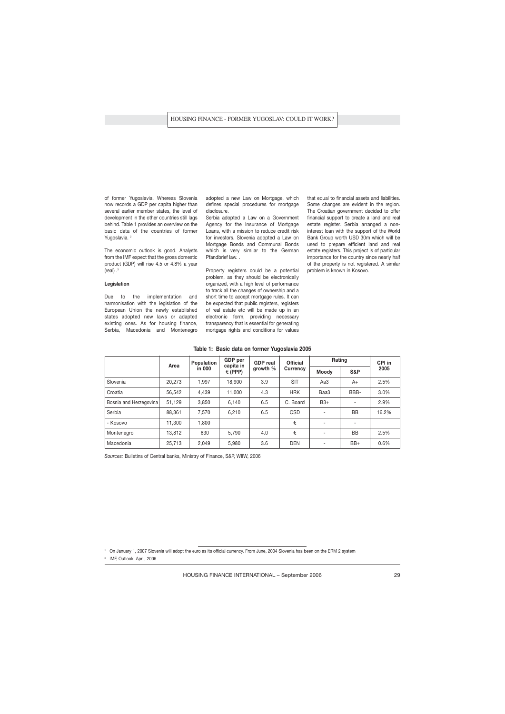of former Yugoslavia. Whereas Slovenia now records a GDP per capita higher than several earlier member states, the level of development in the other countries still lags behind. Table 1 provides an overview on the basic data of the countries of former Yugoslavia.<sup>2</sup>

The economic outlook is good. Analysts from the IMF expect that the gross domestic product (GDP) will rise 4.5 or 4.8% a year (real) .<sup>3</sup>

### **Legislation**

Due to the implementation and harmonisation with the legislation of the European Union the newly established states adopted new laws or adapted existing ones. As for housing finance, Serbia, Macedonia and Montenegro adopted a new Law on Mortgage, which defines special procedures for mortgage disclosure.

Serbia adopted a Law on a Government Agency for the Insurance of Mortgage Loans, with a mission to reduce credit risk for investors. Slovenia adopted a Law on Mortgage Bonds and Communal Bonds which is very similar to the German Pfandbrief law. .

Property registers could be a potential problem, as they should be electronically organized, with a high level of performance to track all the changes of ownership and a short time to accept mortgage rules. It can be expected that public registers, registers of real estate etc will be made up in an electronic form, providing necessary transparency that is essential for generating mortgage rights and conditions for values that equal to financial assets and liabilities. Some changes are evident in the region. The Croatian government decided to offer financial support to create a land and real estate register. Serbia arranged a noninterest loan with the support of the World Bank Group worth USD 30m which will be used to prepare efficient land and real estate registers. This project is of particular importance for the country since nearly half of the property is not registered. A similar problem is known in Kosovo.

|                        | Area   | Population | <b>GDP</b> per<br>capita in | <b>GDP</b> real | <b>Official</b> | Rating                   |                          | CPI in |
|------------------------|--------|------------|-----------------------------|-----------------|-----------------|--------------------------|--------------------------|--------|
|                        |        | in 000     | $\in$ (PPP)                 | growth $%$      | Currency        | Moody                    | S&P                      | 2005   |
| Slovenia               | 20,273 | 1.997      | 18,900                      | 3.9             | <b>SIT</b>      | Aa3                      | $A+$                     | 2.5%   |
| Croatia                | 56,542 | 4,439      | 11,000                      | 4.3             | <b>HRK</b>      | Baa3                     | BBB-                     | 3.0%   |
| Bosnia and Herzegovina | 51,129 | 3,850      | 6,140                       | 6.5             | C. Board        | $B3+$                    | ۰                        | 2.9%   |
| Serbia                 | 88,361 | 7,570      | 6,210                       | 6.5             | <b>CSD</b>      |                          | <b>BB</b>                | 16.2%  |
| - Kosovo               | 11,300 | 1,800      |                             |                 | €               | $\overline{\phantom{a}}$ | $\overline{\phantom{0}}$ |        |
| Montenegro             | 13,812 | 630        | 5.790                       | 4.0             | €               | ٠                        | <b>BB</b>                | 2.5%   |
| Macedonia              | 25,713 | 2.049      | 5,980                       | 3.6             | <b>DEN</b>      |                          | $BB+$                    | 0.6%   |

## **Table 1: Basic data on former Yugoslavia 2005**

*Sources:* Bulletins of Central banks, Ministry of Finance, S&P, WIIW, 2006

<sup>2</sup> On January 1, 2007 Slovenia will adopt the euro as its official currency. From June, 2004 Slovenia has been on the ERM 2 system

3 IMF, Outlook, April, 2006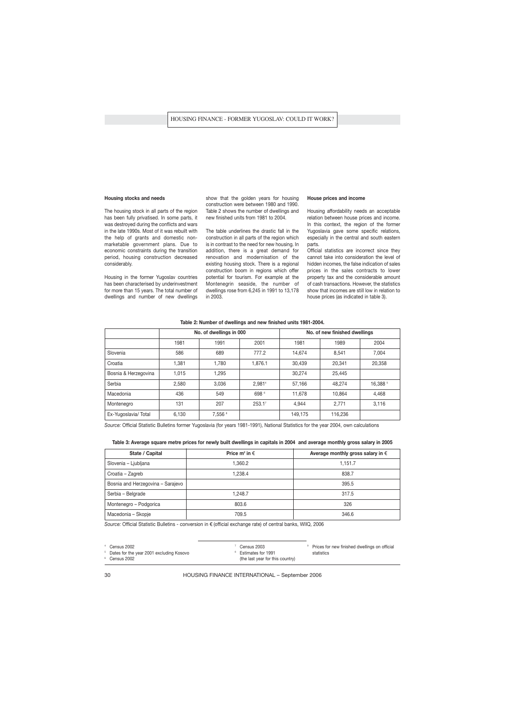#### **Housing stocks and needs**

The housing stock in all parts of the region has been fully privatised. In some parts, it was destroyed during the conflicts and wars in the late 1990s. Most of it was rebuilt with the help of grants and domestic nonmarketable government plans. Due to economic constraints during the transition period, housing construction decreased considerably.

Housing in the former Yugoslav countries has been characterised by underinvestment for more than 15 years. The total number of dwellings and number of new dwellings show that the golden years for housing construction were between 1980 and 1990. Table 2 shows the number of dwellings and new finished units from 1981 to 2004.

The table underlines the drastic fall in the construction in all parts of the region which is in contrast to the need for new housing. In addition, there is a great demand for renovation and modernisation of the existing housing stock. There is a regional construction boom in regions which offer potential for tourism. For example at the Montenegrin seaside, the number of dwellings rose from 6,245 in 1991 to 13,178 in 2003.

#### **House prices and income**

Housing affordability needs an acceptable relation between house prices and income. In this context, the region of the former Yugoslavia gave some specific relations, especially in the central and south eastern parts.

Official statistics are incorrect since they cannot take into consideration the level of hidden incomes, the false indication of sales prices in the sales contracts to lower property tax and the considerable amount of cash transactions. However, the statistics show that incomes are still low in relation to house prices (as indicated in table 3).

|                      |       | No. of dwellings in 000 |                    | No. of new finished dwellings |         |          |  |
|----------------------|-------|-------------------------|--------------------|-------------------------------|---------|----------|--|
|                      | 1981  | 1991                    | 2001               | 1981                          | 1989    | 2004     |  |
| Slovenia             | 586   | 689                     | 777.2              | 14.674                        | 8.541   | 7,004    |  |
| Croatia              | 1,381 | 1,780                   | 1,876.1            | 30,439                        | 20,341  | 20,358   |  |
| Bosnia & Herzegovina | 1,015 | 1,295                   |                    | 30.274                        | 25,445  |          |  |
| Serbia               | 2,580 | 3.036                   | 2.9814             | 57,166                        | 48.274  | 16,388 5 |  |
| Macedonia            | 436   | 549                     | 698 <sup>6</sup>   | 11.678                        | 10.864  | 4,468    |  |
| Montenegro           | 131   | 207                     | 253.1 <sup>7</sup> | 4.944                         | 2.771   | 3,116    |  |
| Ex-Yugoslavia/Total  | 6,130 | 7,556 8                 |                    | 149.175                       | 116,236 |          |  |

### **Table 2: Number of dwellings and new finished units 1981-2004.**

*Source:* Official Statistic Bulletins former Yugoslavia (for years 1981-1991), National Statistics for the year 2004, own calculations

|  |  | Table 3: Average square metre prices for newly built dwellings in capitals in 2004  and average monthly gross salary in 2005 |  |  |  |  |  |  |  |
|--|--|------------------------------------------------------------------------------------------------------------------------------|--|--|--|--|--|--|--|
|--|--|------------------------------------------------------------------------------------------------------------------------------|--|--|--|--|--|--|--|

| State / Capital                   | Price $m^2$ in $\in$ | Average monthly gross salary in $\epsilon$ |
|-----------------------------------|----------------------|--------------------------------------------|
| Slovenia - Ljubljana              | 1.360.2              | 1.151.7                                    |
| Croatia - Zagreb                  | 1.238.4              | 838.7                                      |
| Bosnia and Herzegovina - Sarajevo |                      | 395.5                                      |
| Serbia - Belgrade                 | 1.248.7              | 317.5                                      |
| Montenegro - Podgorica            | 803.6                | 326                                        |
| Macedonia – Skopje                | 709.5                | 346.6                                      |

*Source:* Official Statistic Bulletins - conversion in € (official exchange rate) of central banks, WIIQ, 2006

Dates for the year 2001 excluding Kosovo

<sup>7</sup> Census 2003

<sup>9</sup> Prices for new finished dwellings on official statistics

Census 2002

<sup>8</sup> Estimates for 1991

HOUSING FINANCE INTERNATIONAL – September 2006

(the last year for this country)

<sup>4</sup> Census 2002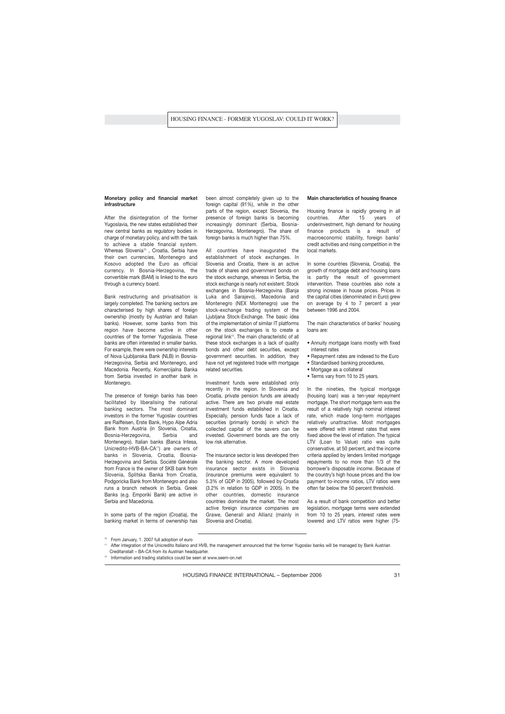## **Monetary policy and financial market infrastructure**

After the disintegration of the former Yugoslavia, the new states established their new central banks as regulatory bodies in charge of monetary policy, and with the task to achieve a stable financial system. Whereas Slovenia<sup>10</sup>, Croatia, Serbia have their own currencies, Montenegro and Kosovo adopted the Euro as official currency. In Bosnia-Herzegovina, the convertible mark (BAM) is linked to the euro through a currency board.

Bank restructuring and privatisation is largely completed. The banking sectors are characterised by high shares of foreign ownership (mostly by Austrian and Italian banks). However, some banks from this region have become active in other countries of the former Yugoslavia. These banks are often interested in smaller banks. For example, there were ownership interests of Nova Liublianska Bank (NLB) in Bosnia-Herzegovina, Serbia and Montenegro, and Macedonia. Recently, Komercijalna Banka from Serbia invested in another bank in Montenegro.

The presence of foreign banks has been facilitated by liberalising the national banking sectors. The most dominant investors in the former Yugoslav countries are Raiffeisen, Erste Bank, Hypo Alpe Adria Bank from Austria (in Slovenia, Croatia, Bosnia-Herzegovina, Serbia and Montenegro). Italian banks (Banca Intesa, Unicredito-HVB-BA-CA<sup>11</sup>) are owners of banks in Slovenia, Croatia, Bosnia-Herzegovina and Serbia. Société Générale from France is the owner of SKB bank from Slovenia, Splitska Banka from Croatia, Podgoricka Bank from Montenegro and also runs a branch network in Serbia. Greek Banks (e.g. Emporiki Bank) are active in Serbia and Macedonia.

In some parts of the region (Croatia), the banking market in terms of ownership has been almost completely given up to the foreign capital (91%), while in the other parts of the region, except Slovenia, the presence of foreign banks is becoming increasingly dominant (Serbia, Bosnia-Herzegovina, Montenegro). The share of foreign banks is much higher than 75%.

All countries have inaugurated the establishment of stock exchanges. In Slovenia and Croatia, there is an active trade of shares and government bonds on the stock exchange, whereas in Serbia, the stock exchange is nearly not existent. Stock exchanges in Bosnia-Herzegovina (Banja Luka and Sarajevo), Macedonia and Montenegro (NEX Montenegro) use the stock-exchange trading system of the Ljubljana Stock-Exchange. The basic idea of the implementation of similar IT platforms on the stock exchanges is to create a regional link<sup>12</sup>. The main characteristic of all these stock exchanges is a lack of quality bonds and other debt securities, except government securities. In addition, they have not yet registered trade with mortgage related securities.

Investment funds were established only recently in the region. In Slovenia and Croatia, private pension funds are already active. There are two private real estate investment funds established in Croatia. Especially, pension funds face a lack of securities (primarily bonds) in which the collected capital of the savers can be invested. Government bonds are the only low risk alternative.

The insurance sector is less developed then the banking sector. A more developed insurance sector exists in Slovenia (insurance premiums were equivalent to 5.3% of GDP in 2005), followed by Croatia (3.2% in relation to GDP in 2005). In the other countries, domestic insurance countries dominate the market. The most active foreign insurance companies are Grawe, Generali and Allianz (mainly in Slovenia and Croatia).

#### **Main characteristics of housing finance**

Housing finance is rapidly growing in all countries. After 15 years of underinvestment, high demand for housing finance products is a result of macroeconomic stability, foreign banks' credit activities and rising competition in the local markets.

In some countries (Slovenia, Croatia), the growth of mortgage debt and housing loans is partly the result of government intervention. These countries also note a strong increase in house prices. Prices in the capital cities (denominated in Euro) grew on average by 4 to 7 percent a year between 1996 and 2004.

The main characteristics of banks' housing loans are:

- Annuity mortgage loans mostly with fixed interest rates
- Repayment rates are indexed to the Euro
- Standardised banking procedures,
- Mortgage as a collateral
- Terms vary from 10 to 25 years.

In the nineties, the typical mortgage (housing loan) was a ten-year repayment mortgage. The short mortgage term was the result of a relatively high nominal interest rate, which made long-term mortgages relatively unattractive. Most mortgages were offered with interest rates that were fixed above the level of inflation. The typical LTV (Loan to Value) ratio was quite conservative, at 50 percent, and the income criteria applied by lenders limited mortgage repayments to no more than 1/3 of the borrower's disposable income. Because of the country's high house prices and the low payment to-income ratios, LTV ratios were often far below the 50 percent threshold.

As a result of bank competition and better legislation, mortgage terms were extended from 10 to 25 years, interest rates were lowered and LTV ratios were higher (75-

<sup>10</sup> From January, 1. 2007 full adoption of euro

After integration of the Unicredito Italiano and HVB, the management announced that the former Yugoslav banks will be managed by Bank Austrian Creditanstalt – BA-CA from its Austrian headquarter.

<sup>&</sup>lt;sup>12</sup> Information and trading statistics could be seen at www.seem-on.net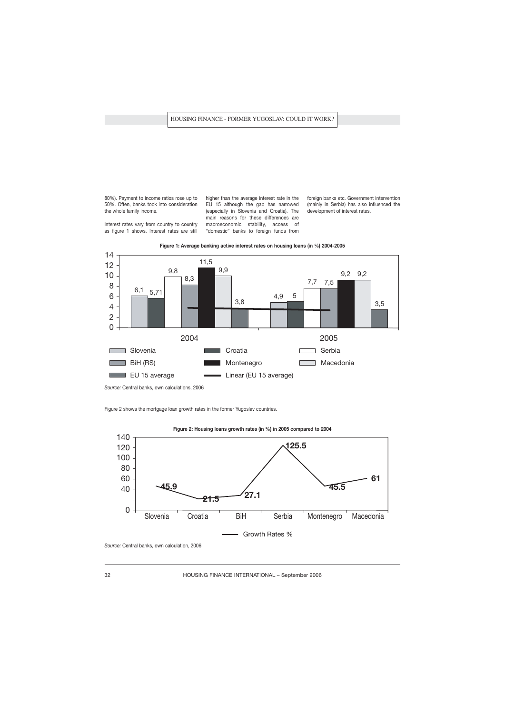80%). Payment to income ratios rose up to 50%. Often, banks took into consideration the whole family income.

Interest rates vary from country to country as figure 1 shows. Interest rates are still higher than the average interest rate in the EU 15 although the gap has narrowed (especially in Slovenia and Croatia). The main reasons for these differences are macroeconomic stability, access of "domestic" banks to foreign funds from

foreign banks etc. Government intervention (mainly in Serbia) has also influenced the development of interest rates.





*Source:* Central banks, own calculations, 2006

Figure 2 shows the mortgage loan growth rates in the former Yugoslav countries.





*Source:* Central banks, own calculation, 2006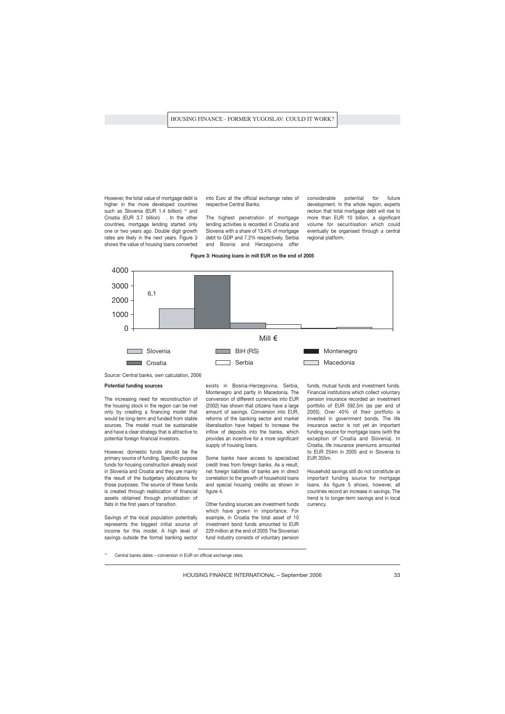However, the total value of mortgage debt is higher in the more developed countries such as Slovenia (EUR 1.4 billion) <sup>13</sup> and Croatia (EUR 3.7 billion) . In the other countries, mortgage lending started only one or two years ago. Double digit growth rates are likely in the next years. Figure 3 shows the value of housing loans converted into Euro at the official exchange rates of respective Central Banks.

The highest penetration of mortgage lending activities is recorded in Croatia and Slovenia with a share of 13.4% of mortgage debt to GDP and 7.2% respectively. Serbia and Bosnia and Herzegovina offer considerable potential for future development. In the whole region, experts reckon that total mortgage debt will rise to more than EUR 10 billion, a significant volume for securitisation which could eventually be organised through a central regional platform.

#### **Figure 3: Housing loans in mill EUR on the end of 2005**



*Source:* Central banks, own calculation, 2006

#### **Potential funding sources**

The increasing need for reconstruction of the housing stock in the region can be met only by creating a financing model that would be long-term and funded from stable sources. The model must be sustainable and have a clear strategy that is attractive to potential foreign financial investors.

However, domestic funds should be the primary source of funding. Specific-purpose funds for housing construction already exist in Slovenia and Croatia and they are mainly the result of the budgetary allocations for those purposes. The source of these funds is created through reallocation of financial assets obtained through privatisation of flats in the first years of transition.

Savings of the local population potentially represents the biggest initial source of income for this model. A high level of savings outside the formal banking sector exists in Bosnia-Herzegovina, Serbia, Montenegro and partly in Macedonia. The conversion of different currencies into EUR (2002) has shown that citizens have a large amount of savings. Conversion into EUR, reforms of the banking sector and market liberalisation have helped to increase the inflow of deposits into the banks, which provides an incentive for a more significant supply of housing loans.

Some banks have access to specialized credit lines from foreign banks. As a result, net foreign liabilities of banks are in direct correlation to the growth of household loans and special housing credits as shown in figure 4.

Other funding sources are investment funds which have grown in importance. For example, in Croatia the total asset of 10 investment bond funds amounted to EUR 229 million at the end of 2005 The Slovenian fund industry consists of voluntary pension

funds, mutual funds and investment funds. Financial institutions which collect voluntary pension insurance recorded an investment portfolio of EUR 592.5m (as per end of 2005). Over 40% of their portfolio is invested in government bonds. The life insurance sector is not yet an important funding source for mortgage loans (with the exception of Croatia and Slovenia). In Croatia, life insurance premiums amounted to EUR 254m in 2005 and in Slovenia to EUR 355m.

Household savings still do not constitute an important funding source for mortgage loans. As figure 5 shows, however, all countries record an increase in savings. The trend is to longer-term savings and in local currency.

Central banks dates – conversion in EUR on official exchange rates.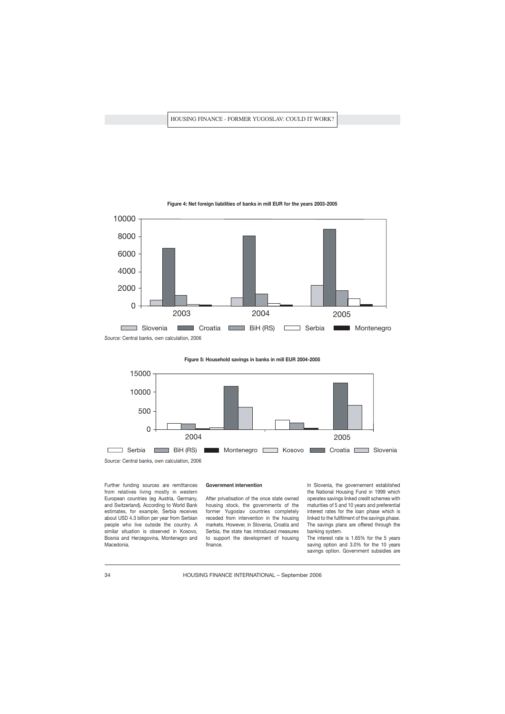

## **Figure 4: Net foreign liabilities of banks in mill EUR for the years 2003-2005**

*Source:* Central banks, own calculation, 2006

**Figure 5: Household savings in banks in mill EUR 2004-2005** 



Further funding sources are remittances from relatives living mostly in western European countries (eg Austria, Germany, and Switzerland). According to World Bank estimates, for example, Serbia receives about USD 4.3 billion per year from Serbian people who live outside the country. A similar situation is observed in Kosovo, Bosnia and Herzegovina, Montenegro and Macedonia.

#### **Government intervention**

After privatisation of the once state owned housing stock, the governments of the former Yugoslav countries completely receded from intervention in the housing markets. However, in Slovenia, Croatia and Serbia, the state has introduced measures to support the development of housing finance.

In Slovenia, the governement established the National Housing Fund in 1999 which operates savings linked credit schemes with maturities of 5 and 10 years and preferential interest rates for the loan phase which is linked to the fullfilment of the savings phase. The savings plans are offered through the banking system.

The interest rate is 1.65% for the 5 years saving option and 3.0% for the 10 years savings option. Government subsidies are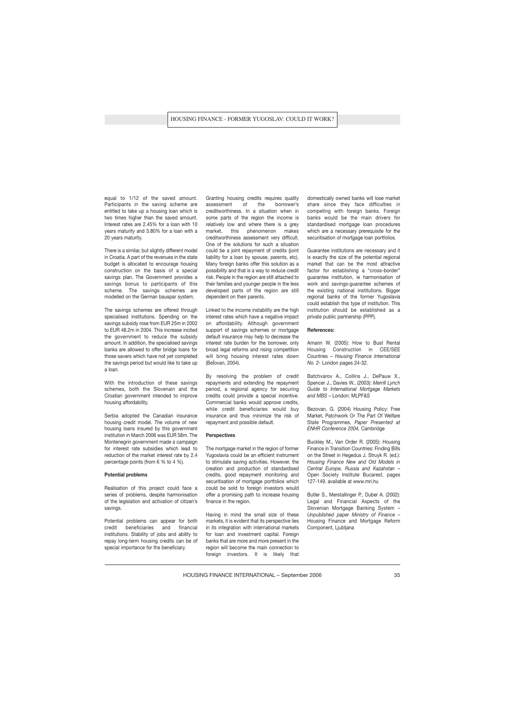equal to 1/12 of the saved amount. Participants in the saving scheme are entitled to take up a housing loan which is two times higher than the saved amount. Interest rates are 2.45% for a loan with 10 years maturity and 3.80% for a loan with a 20 years maturity.

There is a similar, but slightly different model in Croatia. A part of the revenues in the state budget is allocated to encourage housing construction on the basis of a special savings plan. The Government provides a savings bonus to participants of this scheme. The savings schemes are modelled on the German bauspar system.

The savings schemes are offered through specialised institutions. Spending on the savings subsidy rose from EUR 25m in 2002 to EUR 48.2m in 2004. This increase incited the government to reduce the subsidy amount. In addition, the specialised savings banks are allowed to offer bridge loans for those savers which have not yet completed the savings period but would like to take up a loan.

With the introduction of these savings schemes, both the Slovenain and the Croatian government intended to improve housing affordability.

Serbia adopted the Canadian insurance housing credit model. The volume of new housing loans insured by this government institution in March 2006 was EUR 58m. The Montenegrin government made a campaign for interest rate subsidies which lead to reduction of the market interest rate by 2.4 percentage points (from 6 % to 4 %).

## **Potential problems**

Realisation of this project could face a series of problems, despite harmonisation of the legislation and activation of citizen's savings.

Potential problems can appear for both credit beneficiaries and financial institutions. Stability of jobs and ability to repay long-term housing credits can be of special importance for the beneficiary.

Granting housing credits requires quality assessment of the borrower's creditworthiness. In a situation when in some parts of the region the income is relatively low and where there is a grey market, this phenomenon makes creditworthiness assessment very difficult. One of the solutions for such a situation could be a joint repayment of credits (joint liability for a loan by spouse, parents, etc). Many foreign banks offer this solution as a possibility and that is a way to reduce credit risk. People in the region are still attached to their families and younger people in the less developed parts of the region are still dependent on their parents.

Linked to the income instability are the high interest rates which have a negative impact on affordability. Although government support of savings schemes or mortgage default insurance may help to decrease the interest rate burden for the borrower, only broad legal reforms and rising competition will bring housing interest rates down (BeÏovan, 2004).

By resolving the problem of credit repayments and extending the repayment period, a regional agency for securing credits could provide a special incentive. Commercial banks would approve credits, while credit beneficiaries would buy insurance and thus minimize the risk of repayment and possible default.

## **Perspectives**

The mortgage market in the region of former Yugoslavia could be an efficient instrument to stimulate saving activities. However, the creation and production of standardised credits, good repayment monitoring and securitisation of mortgage portfolios which could be sold to foreign investors would offer a promising path to increase housing finance in the region.

Having in mind the small size of these markets, it is evident that its perspective lies in its integration with international markets for loan and investment capital. Foreign banks that are more and more present in the region will become the main connection to foreign investors. It is likely that domestically owned banks will lose market share since they face difficulties in competing with foreign banks. Foreign banks would be the main drivers for standardised mortgage loan procedures which are a necessary prerequisite for the securitisation of mortgage loan portfolios.

Guarantee institutions are necessary and it is exactly the size of the potential regional market that can be the most attractive factor for establishing a "cross-border" guarantee institution, ie harmonisation of work and savings-guarantee schemes of the existing national institutions. Bigger regional banks of the former Yugoslavia could establish this type of institution. This institution should be established as a private public partnership (PPP).

#### **References:**

Amann W. (2005): How to Bust Rental Housing Construction in CEE/SEE Countries – *Housing Finance International No. 2*- London pages 24-32.

Batchvarov A., Collins J., DePauw X., Spencer J., Davies W., (2003): *Merrill Lynch Guide to International Mortgage Markets and MBS* – London: MLPF&S

Bezovan, G. (2004) Housing Policy: Free Market, Patchwork Or The Part Of Welfare State Programmes, *Paper Presented at ENHR Conference 2004,* Cambridge

Buckley M., Van Order R. (2005): Housing Finance in Transition Countries: Finding Bills on the Street in Hegedus J. Struyk R. (ed.): *Housing Finance New and Old Models in Central Europe, Russia and Kazahstan* – Open Society Institute Bucarest, pages 127-149. available at www.mri.hu

Butler S., Merstallinger P., Duber A. (2002): Legal and Financial Aspects of the Slovenian Mortgage Banking System -*Unpublished paper Ministry of Finance* – Housing Finance and Mortgage Reform Component, Ljubljana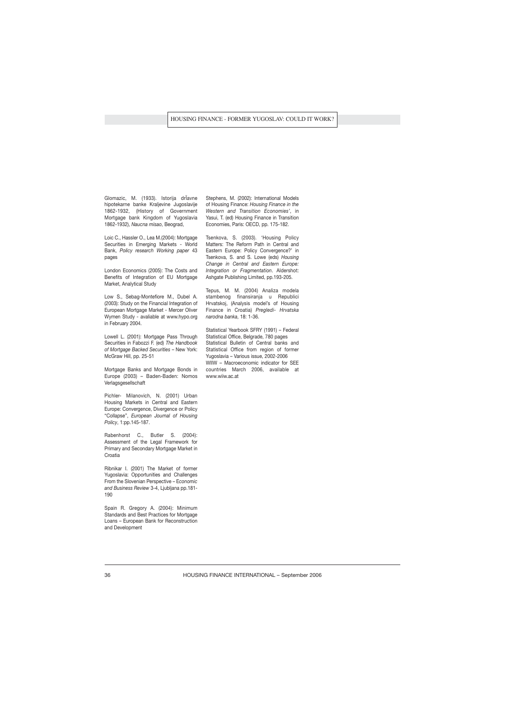Glomazic, M. (1933). Istorija drÏavne hipotekarne banke Kraljevine Jugoslavije 1862-1932, (History of Government Mortgage bank Kingdom of Yugoslavia 1862-1932), *Naucna misao*, Beograd,

Loic C., Hassler O., Lea M.(2004): Mortgage Securities in Emerging Markets - World Bank, *Policy research Working paper* 43 pages

London Economics (2005): The Costs and Benefits of Integration of EU Mortgage Market, Analytical Study

Low S., Sebag-Montefiore M., Dubel A. (2003): Study on the Financial Integration of European Mortgage Market - Mercer Oliver Wymen Study - avaliable at www.hypo.org in February 2004.

Lowell L. (2001): Mortgage Pass Through Securities in Fabozzi F. (ed) *The Handbook of Mortgage Backed Securities* – New York: McGraw Hill, pp. 25-51

Mortgage Banks and Mortgage Bonds in Europe (2003) – Baden-Baden: Nomos Verlagsgesellschaft

Pichler- Milanovich, N. (2001) Urban Housing Markets in Central and Eastern Europe: Convergence, Divergence or Policy "Collapse", *European Journal of Housing Policy*, 1:pp.145-187.

Rabenhorst C., Butler S. (2004): Assessment of the Legal Framework for Primary and Secondary Mortgage Market in **Croatia** 

Ribnikar I. (2001) The Market of former Yugoslavia: Opportunities and Challenges From the Slovenian Perspective – E*conomic and Business Review* 3-4, Ljubljana pp.181- 190

Spain R. Gregory A. (2004): Minimum Standards and Best Practices for Mortgage Loans – European Bank for Reconstruction and Development

Stephens, M. (2002): International Models of Housing Finance: *Housing Finance in the Western and Transition Economies'*, in Yasui, T. (ed) Housing Finance in Transition Economies, Paris: OECD, pp. 175-182.

Tsenkova, S. (2003). 'Housing Policy Matters: The Reform Path in Central and Eastern Europe: Policy Convergence?' in Tsenkova, S. and S. Lowe (eds) *Housing Change in Central and Eastern Europe: Integration or Fragmentation*. Aldershot: Ashgate Publishing Limited, pp.193-205.

Tepus, M. M. (2004) Analiza modela stambenog finansiranja u Republici Hrvatskoj, (Analysis model's of Housing Finance in Croatia) *Pregledi- Hrvatska narodna banka*, 18: 1-36.

Statistical Yearbook SFRY (1991) – Federal Statistical Office, Belgrade, 780 pages Statistical Bulletin of Central banks and Statistical Office from region of former Yugoslavia – Various issue, 2002-2006 WIIW – Macroeconomic indicator for SEE countries March 2006, available at www.wiiw.ac.at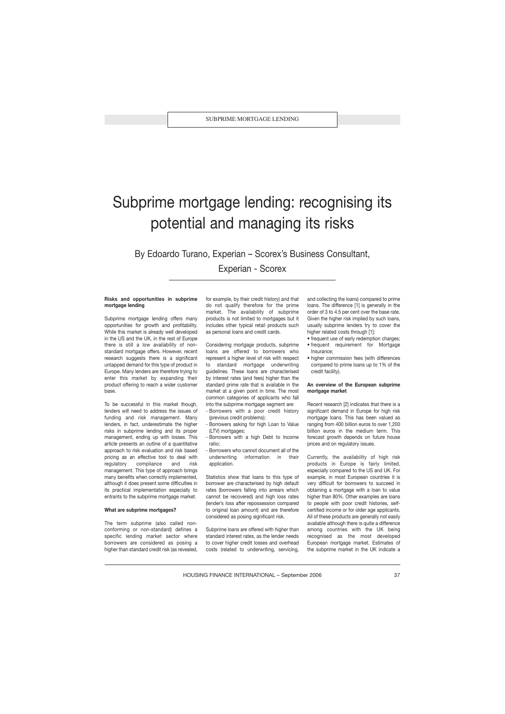## Subprime mortgage lending: recognising its potential and managing its risks

By Edoardo Turano, Experian – Scorex's Business Consultant, Experian - Scorex

## **Risks and opportunities in subprime mortgage lending**

Subprime mortgage lending offers many opportunities for growth and profitability. While this market is already well developed in the US and the UK, in the rest of Europe there is still a low availability of nonstandard mortgage offers. However, recent research suggests there is a significant untapped demand for this type of product in Europe. Many lenders are therefore trying to enter this market by expanding their product offering to reach a wider customer base.

To be successful in this market though, lenders will need to address the issues of funding and risk management. Many lenders, in fact, underestimate the higher risks in subprime lending and its proper management, ending up with losses. This article presents an outline of a quantitative approach to risk evaluation and risk based pricing as an effective tool to deal with regulatory compliance and risk management. This type of approach brings many benefits when correctly implemented, although it does present some difficulties in its practical implementation especially to entrants to the subprime mortgage market.

#### **What are subprime mortgages?**

The term subprime (also called nonconforming or non-standard) defines a specific lending market sector where borrowers are considered as posing a higher than standard credit risk (as revealed,

for example, by their credit history) and that do not qualify therefore for the prime market. The availability of subprime products is not limited to mortgages but it includes other typical retail products such as personal loans and credit cards.

Considering mortgage products, subprime loans are offered to borrowers who represent a higher level of risk with respect to standard mortgage underwriting guidelines. These loans are characterised by interest rates (and fees) higher than the standard prime rate that is available in the market at a given point in time. The most common categories of applicants who fall into the subprime mortgage segment are:

- Borrowers with a poor credit history (previous credit problems);
- Borrowers asking for high Loan to Value (LTV) mortgages;
- Borrowers with a high Debt to Income ratio;
- Borrowers who cannot document all of the underwriting information in their application

Statistics show that loans to this type of borrower are characterised by high default rates (borrowers falling into arrears which cannot be recovered) and high loss rates (lender's loss after repossession compared to original loan amount) and are therefore considered as posing significant risk.

Subprime loans are offered with higher than standard interest rates, as the lender needs to cover higher credit losses and overhead costs (related to underwriting, servicing, and collecting the loans) compared to prime loans. The difference [1] is generally in the order of 3 to 4.5 per cent over the base rate. Given the higher risk implied by such loans, usually subprime lenders try to cover the higher related costs through [1]:

- frequent use of early redemption charges;
- frequent requirement for Mortgage Insurance;
- higher commission fees (with differences compared to prime loans up to 1% of the credit facility).

## **An overview of the European subprime mortgage market**

Recent research [2] indicates that there is a significant demand in Europe for high risk mortgage loans. This has been valued as ranging from 400 billion euros to over 1,200 billion euros in the medium term. This forecast growth depends on future house prices and on regulatory issues.

Currently, the availability of high risk products in Europe is fairly limited, especially compared to the US and UK. For example, in most European countries it is very difficult for borrowers to succeed in obtaining a mortgage with a loan to value higher than 80%. Other examples are loans to people with poor credit histories, selfcertified income or for older age applicants. All of these products are generally not easily available although there is quite a difference among countries with the UK being recognised as the most developed European mortgage market. Estimates of the subprime market in the UK indicate a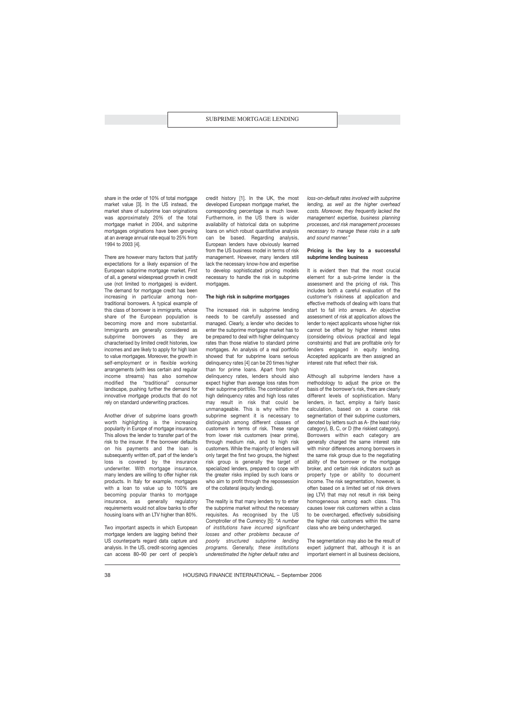share in the order of 10% of total mortgage market value [3]. In the US instead, the market share of subprime loan originations was approximately 20% of the total mortgage market in 2004, and subprime mortgages originations have been growing at an average annual rate equal to 25% from 1994 to 2003 [4].

There are however many factors that justify expectations for a likely expansion of the European subprime mortgage market. First of all, a general widespread growth in credit use (not limited to mortgages) is evident. The demand for mortgage credit has been increasing in particular among nontraditional borrowers. A typical example of this class of borrower is immigrants, whose share of the European population is becoming more and more substantial. Immigrants are generally considered as subprime borrowers as they are characterised by limited credit histories, low incomes and are likely to apply for high loan to value mortgages. Moreover, the growth in self-employment or in flexible working arrangements (with less certain and regular income streams) has also somehow modified the "traditional" consumer landscape, pushing further the demand for innovative mortgage products that do not rely on standard underwriting practices.

Another driver of subprime loans growth worth highlighting is the increasing popularity in Europe of mortgage insurance. This allows the lender to transfer part of the risk to the insurer. If the borrower defaults on his payments and the loan is subsequently written off, part of the lender's loss is covered by the insurance underwriter. With mortgage insurance, many lenders are willing to offer higher risk products. In Italy for example, mortgages with a loan to value up to 100% are becoming popular thanks to mortgage insurance, as generally regulatory requirements would not allow banks to offer housing loans with an LTV higher than 80%.

Two important aspects in which European mortgage lenders are lagging behind their US counterparts regard data capture and analysis. In the US, credit-scoring agencies can access 80–90 per cent of people's credit history [1]. In the UK, the most developed European mortgage market, the corresponding percentage is much lower. Furthermore, in the US there is wider availability of historical data on subprime loans on which robust quantitative analysis can be based. Regarding analysis, European lenders have obviously learned from the US business model in terms of risk management. However, many lenders still lack the necessary know-how and expertise to develop sophisticated pricing models necessary to handle the risk in subprime mortgages.

### **The high risk in subprime mortgages**

The increased risk in subprime lending needs to be carefully assessed and managed. Clearly, a lender who decides to enter the subprime mortgage market has to be prepared to deal with higher delinquency rates than those relative to standard prime mortgages. An analysis of a real portfolio showed that for subprime loans serious delinquency rates [4] can be 20 times higher than for prime loans. Apart from high delinquency rates, lenders should also expect higher than average loss rates from their subprime portfolio. The combination of high delinquency rates and high loss rates may result in risk that could be unmanageable. This is why within the subprime segment it is necessary to distinguish among different classes of customers in terms of risk. These range from lower risk customers (near prime), through medium risk, and to high risk customers. While the majority of lenders will only target the first two groups, the highest risk group is generally the target of specialized lenders, prepared to cope with the greater risks implied by such loans or who aim to profit through the repossession of the collateral (equity lending).

The reality is that many lenders try to enter the subprime market without the necessary requisites. As recognised by the US Comptroller of the Currency [5]: *"A number of institutions have incurred significant losses and other problems because of poorly structured subprime lending programs. Generally, these institutions underestimated the higher default rates and* *loss-on-default rates involved with subprime lending, as well as the higher overhead costs. Moreover, they frequently lacked the management expertise, business planning processes, and risk management processes necessary to manage these risks in a safe and sound manner."*

## **Pricing is the key to a successful subprime lending business**

It is evident then that the most crucial element for a sub-prime lender is the assessment and the pricing of risk. This includes both a careful evaluation of the customer's riskiness at application and effective methods of dealing with loans that start to fall into arrears. An objective assessment of risk at application allows the lender to reject applicants whose higher risk cannot be offset by higher interest rates (considering obvious practical and legal constraints) and that are profitable only for lenders engaged in equity lending. Accepted applicants are then assigned an interest rate that reflect their risk.

Although all subprime lenders have a methodology to adjust the price on the basis of the borrower's risk, there are clearly different levels of sophistication. Many lenders, in fact, employ a fairly basic calculation, based on a coarse risk segmentation of their subprime customers, denoted by letters such as A- (the least risky category), B, C, or D (the riskiest category). Borrowers within each category are generally charged the same interest rate with minor differences among borrowers in the same risk group due to the negotiating ability of the borrower or the mortgage broker, and certain risk indicators such as property type or ability to document income. The risk segmentation, however, is often based on a limited set of risk drivers (eg LTV) that may not result in risk being homogeneous among each class. This causes lower risk customers within a class to be overcharged, effectively subsidising the higher risk customers within the same class who are being undercharged.

The segmentation may also be the result of expert judgment that, although it is an important element in all business decisions,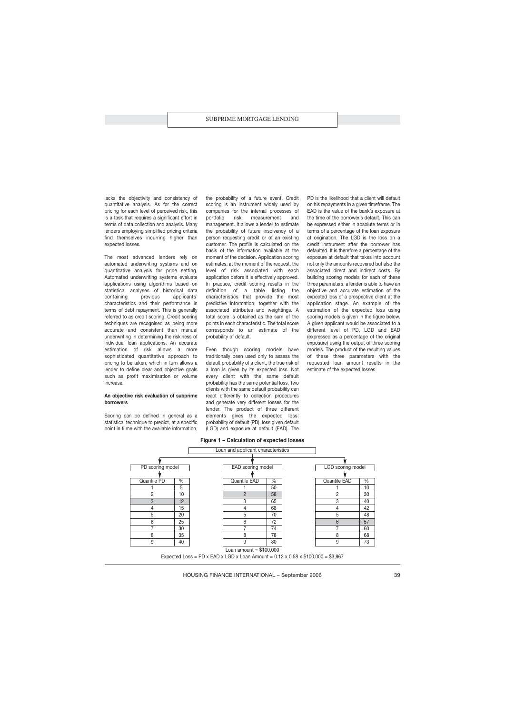lacks the objectivity and consistency of quantitative analysis. As for the correct pricing for each level of perceived risk, this is a task that requires a significant effort in terms of data collection and analysis. Many lenders employing simplified pricing criteria find themselves incurring higher than expected losses.

The most advanced lenders rely on automated underwriting systems and on quantitative analysis for price setting. Automated underwriting systems evaluate applications using algorithms based on statistical analyses of historical data containing previous applicants' characteristics and their performance in terms of debt repayment. This is generally referred to as credit scoring. Credit scoring techniques are recognised as being more accurate and consistent than manual underwriting in determining the riskiness of individual loan applications. An accurate estimation of risk allows a more sophisticated quantitative approach to pricing to be taken, which in turn allows a lender to define clear and objective goals such as profit maximisation or volume increase.

### **An objective risk evaluation of subprime borrowers**

Scoring can be defined in general as a statistical technique to predict, at a specific point in ti.me with the available information,

the probability of a future event. Credit scoring is an instrument widely used by companies for the internal processes of portfolio risk measurement and management. It allows a lender to estimate the probability of future insolvency of a person requesting credit or of an existing customer. The profile is calculated on the basis of the information available at the moment of the decision. Application scoring estimates, at the moment of the request, the level of risk associated with each application before it is effectively approved. In practice, credit scoring results in the definition of a table listing the characteristics that provide the most predictive information, together with the associated attributes and weightings. A total score is obtained as the sum of the points in each characteristic. The total score corresponds to an estimate of the probability of default.

Even though scoring models have traditionally been used only to assess the default probability of a client, the true risk of a loan is given by its expected loss. Not every client with the same default probability has the same potential loss. Two clients with the same default probability can react differently to collection procedures and generate very different losses for the lender. The product of three different elements gives the expected loss: probability of default (PD), loss given default (LGD) and exposure at default (EAD). The

**Figure 1 – Calculation of expected losses**



PD is the likelihood that a client will default on his repayments in a given timeframe. The EAD is the value of the bank's exposure at the time of the borrower's default. This can be expressed either in absolute terms or in terms of a percentage of the loan exposure at origination. The LGD is the loss on a credit instrument after the borrower has defaulted. It is therefore a percentage of the exposure at default that takes into account not only the amounts recovered but also the associated direct and indirect costs. By building scoring models for each of these three parameters, a lender is able to have an objective and accurate estimation of the expected loss of a prospective client at the application stage. An example of the estimation of the expected loss using scoring models is given in the figure below. A given applicant would be associated to a different level of PD, LGD and EAD (expressed as a percentage of the original exposure) using the output of three scoring models. The product of the resulting values of these three parameters with the requested loan amount results in the estimate of the expected losses.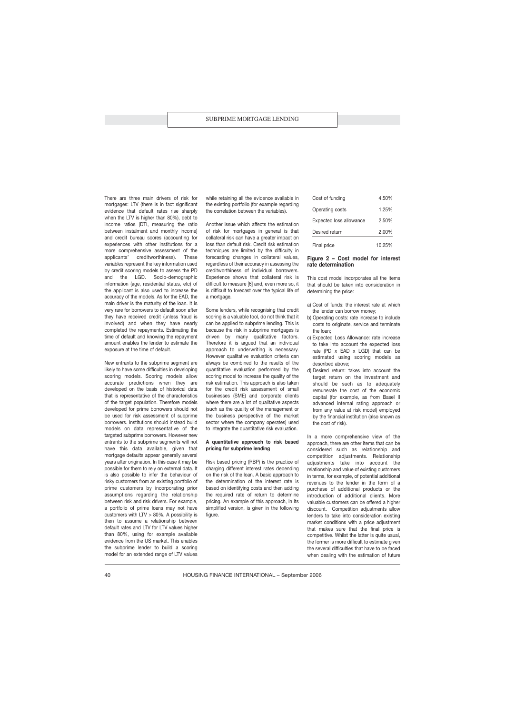There are three main drivers of risk for mortgages: LTV (there is in fact significant evidence that default rates rise sharply when the LTV is higher than 80%), debt to income ratios (DTI, measuring the ratio between instalment and monthly income) and credit bureau scores (accounting for experiences with other institutions for a more comprehensive assessment of the applicants' creditworthiness). These variables represent the key information used by credit scoring models to assess the PD and the LGD. Socio-demographic information (age, residential status, etc) of the applicant is also used to increase the accuracy of the models. As for the EAD, the main driver is the maturity of the loan. It is very rare for borrowers to default soon after they have received credit (unless fraud is involved) and when they have nearly completed the repayments. Estimating the time of default and knowing the repayment amount enables the lender to estimate the exposure at the time of default.

New entrants to the subprime segment are likely to have some difficulties in developing scoring models. Scoring models allow accurate predictions when they are developed on the basis of historical data that is representative of the characteristics of the target population. Therefore models developed for prime borrowers should not be used for risk assessment of subprime borrowers. Institutions should instead build models on data representative of the targeted subprime borrowers. However new entrants to the subprime segments will not have this data available, given that mortgage defaults appear generally several years after origination. In this case it may be possible for them to rely on external data. It is also possible to infer the behaviour of risky customers from an existing portfolio of prime customers by incorporating prior assumptions regarding the relationship between risk and risk drivers. For example, a portfolio of prime loans may not have customers with LTV > 80%. A possibility is then to assume a relationship between default rates and LTV for LTV values higher than 80%, using for example available evidence from the US market. This enables the subprime lender to build a scoring model for an extended range of LTV values while retaining all the evidence available in the existing portfolio (for example regarding the correlation between the variables).

Another issue which affects the estimation of risk for mortgages in general is that collateral risk can have a greater impact on loss than default risk. Credit risk estimation techniques are limited by the difficulty in forecasting changes in collateral values, regardless of their accuracy in assessing the creditworthiness of individual borrowers. Experience shows that collateral risk is difficult to measure [6] and, even more so, it is difficult to forecast over the typical life of a mortgage.

Some lenders, while recognising that credit scoring is a valuable tool, do not think that it can be applied to subprime lending. This is because the risk in subprime mortgages is driven by many qualitative factors. Therefore it is argued that an individual approach to underwriting is necessary. However qualitative evaluation criteria can always be combined to the results of the quantitative evaluation performed by the scoring model to increase the quality of the risk estimation. This approach is also taken for the credit risk assessment of small businesses (SME) and corporate clients where there are a lot of qualitative aspects (such as the quality of the management or the business perspective of the market sector where the company operates) used to integrate the quantitative risk evaluation.

## **A quantitative approach to risk based pricing for subprime lending**

Risk based pricing (RBP) is the practice of charging different interest rates depending on the risk of the loan. A basic approach to the determination of the interest rate is based on identifying costs and then adding the required rate of return to determine pricing. An example of this approach, in its simplified version, is given in the following figure.

| Final price             | 10.25% |
|-------------------------|--------|
| Desired return          | 2.00%  |
| Expected loss allowance | 2.50%  |
| Operating costs         | 1.25%  |
| Cost of funding         | 4.50%  |

## **Figure 2 – Cost model for interest rate determination**

This cost model incorporates all the items that should be taken into consideration in determining the price:

- a) Cost of funds: the interest rate at which the lender can borrow money;
- b) Operating costs: rate increase to include costs to originate, service and terminate the loan;
- c) Expected Loss Allowance: rate increase to take into account the expected loss rate (PD x EAD x LGD) that can be estimated using scoring models as described above;
- d) Desired return: takes into account the target return on the investment and should be such as to adequately remunerate the cost of the economic capital (for example, as from Basel II advanced internal rating approach or from any value at risk model) employed by the financial institution (also known as the cost of risk).

In a more comprehensive view of the approach, there are other items that can be considered such as relationship and competition adjustments. Relationship adjustments take into account the relationship and value of existing customers in terms, for example, of potential additional revenues to the lender in the form of a purchase of additional products or the introduction of additional clients. More valuable customers can be offered a higher discount. Competition adjustments allow lenders to take into consideration existing market conditions with a price adjustment that makes sure that the final price is competitive. Whilst the latter is quite usual, the former is more difficult to estimate given the several difficulties that have to be faced when dealing with the estimation of future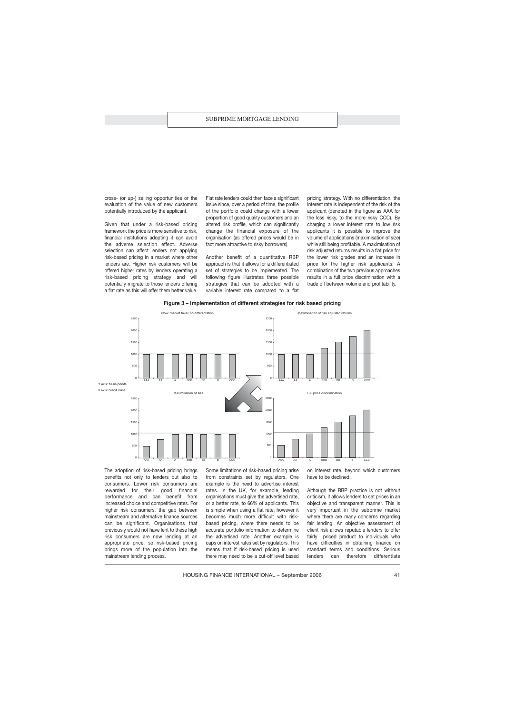cross- (or up-) selling opportunities or the evaluation of the value of new customers potentially introduced by the applicant.

Given that under a risk-based pricing framework the price is more sensitive to risk, financial institutions adopting it can avoid the adverse selection effect. Adverse selection can affect lenders not applying risk-based pricing in a market where other lenders are. Higher risk customers will be offered higher rates by lenders operating a risk-based pricing strategy and will potentially migrate to those lenders offering a flat rate as this will offer them better value. Flat rate lenders could then face a significant issue since, over a period of time, the profile of the portfolio could change with a lower proportion of good quality customers and an altered risk profile, which can significantly change the financial exposure of the organisation (as offered prices would be in fact more attractive to risky borrowers).

Another benefit of a quantitative RBP approach is that it allows for a differentiated set of strategies to be implemented. The following figure illustrates three possible strategies that can be adopted with a variable interest rate compared to a flat pricing strategy. With no differentiation, the interest rate is independent of the risk of the applicant (denoted in the figure as AAA for the less risky, to the more risky CCC). By charging a lower interest rate to low risk applicants it is possible to improve the volume of applications (maximisation of size) while still being profitable. A maximisation of risk adjusted returns results in a flat price for the lower risk grades and an increase in price for the higher risk applicants. A combination of the two previous approaches results in a full price discrimination with a trade off between volume and profitability.





The adoption of risk-based pricing brings benefits not only to lenders but also to consumers. Lower risk consumers are rewarded for their good financial performance and can benefit from increased choice and competitive rates. For higher risk consumers, the gap between mainstream and alternative finance sources can be significant. Organisations that previously would not have lent to these high risk consumers are now lending at an appropriate price, so risk-based pricing brings more of the population into the mainstream lending process.

Some limitations of risk-based pricing arise from constraints set by regulators. One example is the need to advertise interest rates. In the UK, for example, lending organisations must give the advertised rate, or a better rate, to 66% of applicants. This is simple when using a flat rate; however it becomes much more difficult with riskbased pricing, where there needs to be accurate portfolio information to determine the advertised rate. Another example is caps on interest rates set by regulators. This means that if risk-based pricing is used there may need to be a cut-off level based

on interest rate, beyond which customers have to be declined.

Although the RBP practice is not without criticism, it allows lenders to set prices in an objective and transparent manner. This is very important in the subprime market where there are many concerns regarding fair lending. An objective assessment of client risk allows reputable lenders to offer fairly priced product to individuals who have difficulties in obtaining finance on standard terms and conditions. Serious lenders can therefore differentiate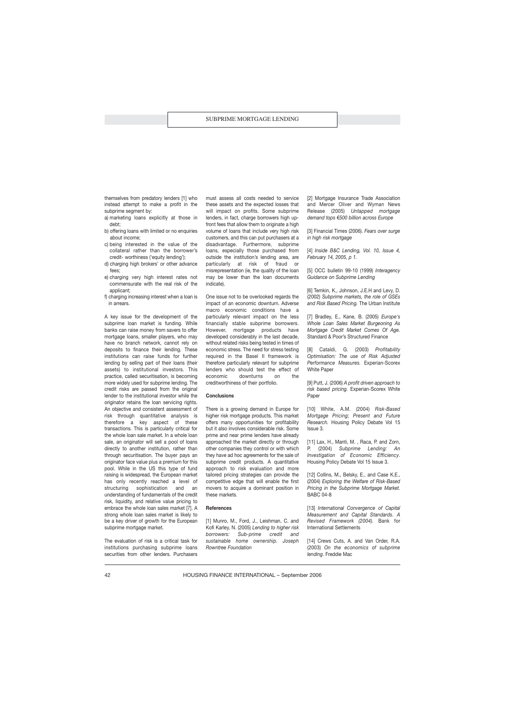themselves from predatory lenders [1] who instead attempt to make a profit in the subprime segment by:

- a) marketing loans explicitly at those in debt;
- b) offering loans with limited or no enquiries about income;
- c) being interested in the value of the collateral rather than the borrower's credit- worthiness ('equity lending');
- d) charging high brokers' or other advance fees;
- e) charging very high interest rates not commensurate with the real risk of the applicant;
- f) charging increasing interest when a loan is in arrears.

A key issue for the development of the subprime loan market is funding. While banks can raise money from savers to offer mortgage loans, smaller players, who may have no branch network, cannot rely on deposits to finance their lending. These institutions can raise funds for further lending by selling part of their loans (their assets) to institutional investors. This practice, called securitisation, is becoming more widely used for subprime lending. The credit risks are passed from the original lender to the institutional investor while the originator retains the loan servicing rights. An objective and consistent assessment of risk through quantitative analysis is therefore a key aspect of these transactions. This is particularly critical for the whole loan sale market. In a whole loan sale, an originator will sell a pool of loans directly to another institution, rather than through securitisation. The buyer pays an originator face value plus a premium for this pool. While in the US this type of fund raising is widespread, the European market has only recently reached a level of structuring sophistication and an understanding of fundamentals of the credit risk, liquidity, and relative value pricing to embrace the whole loan sales market [7]. A strong whole loan sales market is likely to be a key driver of growth for the European subprime mortgage market.

The evaluation of risk is a critical task for institutions purchasing subprime loans securities from other lenders. Purchasers must assess all costs needed to service these assets and the expected losses that will impact on profits. Some subprime lenders, in fact, charge borrowers high upfront fees that allow them to originate a high volume of loans that include very high risk customers, and this can put purchasers at a disadvantage. Furthermore, subprime loans, especially those purchased from outside the institution's lending area, are particularly at risk of fraud or misrepresentation (ie, the quality of the loan may be lower than the loan documents indicate).

One issue not to be overlooked regards the impact of an economic downturn. Adverse macro economic conditions have a particularly relevant impact on the less financially stable subprime borrowers. However, mortgage products have developed considerably in the last decade, without related risks being tested in times of economic stress. The need for stress testing required in the Basel II framework is therefore particularly relevant for subprime lenders who should test the effect of economic downturns on the creditworthiness of their portfolio.

#### **Conclusions**

There is a growing demand in Europe for higher risk mortgage products. This market offers many opportunities for profitability but it also involves considerable risk. Some prime and near prime lenders have already approached the market directly or through other companies they control or with which they have ad hoc agreements for the sale of subprime credit products. A quantitative approach to risk evaluation and more tailored pricing strategies can provide the competitive edge that will enable the first movers to acquire a dominant position in these markets.

## **References**

[1] Munro, M., Ford, J., Leishman, C. and Kofi Karley, N. (2005) *Lending to higher risk borrowers: Sub-prime credit and sustainable home ownership. Joseph Rowntree Foundation*

[2] Mortgage Insurance Trade Association and Mercer Oliver and Wyman News Release (2005) *Untapped mortgage demand tops €500 billion across Europe* 

[3] Financial Times (2006). *Fears over surge in high risk mortgage*

[4] *Inside B&C Lending, Vol. 10, Issue 4, February 14, 2005, p 1.*

[5] OCC bulletin 99-10 (1999) *Interagency Guidance on Subprime Lending*

[6] Temkin, K., Johnson, J.E.H and Levy, D. (2002) *Subprime markets, the role of GSEs and Risk Based Pricing.* The Urban Institute

[7] Bradley, E., Kane, B. (2005) *Europe's Whole Loan Sales Market Burgeoning As Mortgage Credit Market Comes Of Age.* Standard & Poor's Structured Finance

[8] Cataldi, G. (2003) *Profitability Optimisation: The use of Risk Adjusted Performance Measures.* Experian-Scorex White Paper

[9] Putt, J. (2006) *A profit driven approach to risk based pricing.* Experian-Scorex White Paper

[10] White, A.M. (2004) *Risk-Based Mortgage Pricing; Present and Future Research.* Housing Policy Debate Vol 15 Issue 3.

[11] Lax, H., Manti, M., Raca, P. and Zorn, P. (2004) *Subprime Lending: An Investigation of Economic Efficiency*. Housing Policy Debate Vol 15 Issue 3.

[12] Collins, M., Belsky, E., and Case K.E., (2004) *Exploring the Welfare of Risk-Based Pricing in the Subprime Mortgage Market.* BABC 04-8

[13] *International Convergence of Capital Measurement and Capital Standards. A Revised Framework (2004).* Bank for International Settlements

[14] Crews Cuts, A. and Van Order, R.A. (2003) *On the economics of subprime lending*. Freddie Mac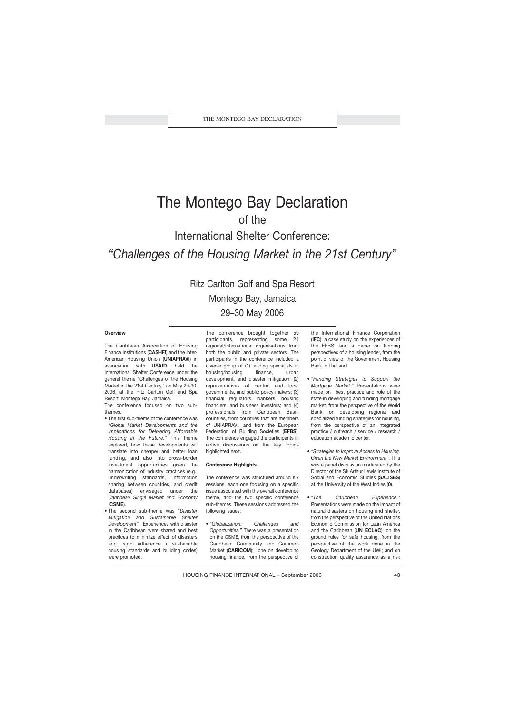## The Montego Bay Declaration of the International Shelter Conference: *"Challenges of the Housing Market in the 21st Century"*

Ritz Carlton Golf and Spa Resort Montego Bay, Jamaica 29–30 May 2006

## **Overview**

The Caribbean Association of Housing Finance Institutions (**CASHFI**) and the Inter-American Housing Union (**UNIAPRAVI**) in association with **USAID**, held the International Shelter Conference under the general theme "Challenges of the Housing Market in the 21st Century," on May 29-30, 2006, at the Ritz Carlton Golf and Spa Resort, Montego Bay, Jamaica.

The conference focused on two subthemes.

- The first sub-theme of the conference was *"Global Market Developments and the Implications for Delivering Affordable Housing in the Future."* This theme explored, how these developments will translate into cheaper and better loan funding, and also into cross-border investment opportunities given the harmonization of industry practices (e.g., underwriting standards, information sharing between countries, and credit databases) envisaged under the *Caribbean Single Market and Economy* (**CSME**).
- The second sub-theme was *"Disaster Mitigation and Sustainable Shelter Development".* Experiences with disaster in the Caribbean were shared and best practices to minimize effect of disasters (e.g., strict adherence to sustainable housing standards and building codes) were promoted.

The conference brought together 59 participants, representing some 24 regional/international organisations from both the public and private sectors. The participants in the conference included a diverse group of (1) leading specialists in housing/housing finance, urban development, and disaster mitigation; (2) representatives of central and local governments, and public policy makers; (3) financial regulators, bankers, housing financiers, and business investors; and (4) professionals from Caribbean Basin countries, from countries that are members of UNIAPRAVI, and from the European Federation of Building Societies (**EFBS**). The conference engaged the participants in active discussions on the key topics highlighted next.

#### **Conference Highlights**

The conference was structured around six sessions, each one focusing on a specific issue associated with the overall conference theme, and the two specific conference sub-themes. These sessions addressed the following issues:

• *"Globalization: Challenges and Opportunities."* There was a presentation on the CSME, from the perspective of the Caribbean Community and Common Market (**CARICOM**); one on developing housing finance, from the perspective of the International Finance Corporation (**IFC**); a case study on the experiences of the EFBS; and a paper on funding perspectives of a housing lender, from the point of view of the Government Housing Bank in Thailand.

- *"Funding Strategies to Support the Mortgage Market."* Presentations were made on best practice and role of the state in developing and funding mortgage market, from the perspective of the World Bank; on developing regional and specialized funding strategies for housing, from the perspective of an integrated practice / outreach / service / research / education academic center.
- *"Strategies to Improve Access to Housing, Given the New Market Environment"*. This was a panel discussion moderated by the Director of the Sir Arthur Lewis Institute of Social and Economic Studies (**SALISES**) at the University of the West Indies (**0**).
- *"The Caribbean Experience."* Presentations were made on the impact of natural disasters on housing and shelter, from the perspective of the United Nations Economic Commission for Latin America and the Caribbean (**UN ECLAC**); on the ground rules for safe housing, from the perspective of the work done in the Geology Department of the UWI; and on construction quality assurance as a risk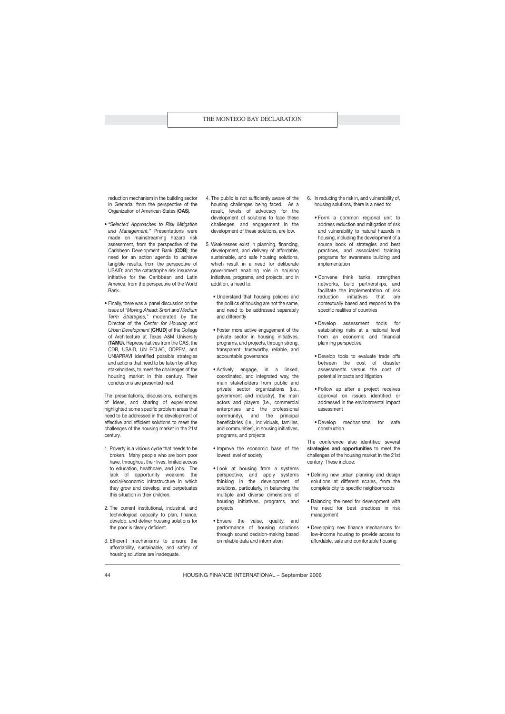reduction mechanism in the building sector in Grenada, from the perspective of the Organization of American States (**OAS**).

- *"Selected Approaches to Risk Mitigation and Management."* Presentations were made on mainstreaming hazard risk assessment, from the perspective of the Caribbean Development Bank (**CDB**); the need for an action agenda to achieve tangible results, from the perspective of USAID; and the catastrophe risk insurance initiative for the Caribbean and Latin America, from the perspective of the World Bank.
- Finally, there was a panel discussion on the issue of *"Moving Ahead: Short and Medium Term Strategies,"* moderated by the Director of the *Center for Housing and Urban Development* (**CHUD**) of the College of Architecture at Texas A&M University (**TAMU**). Representatives from the OAS, the CDB, USAID, UN ECLAC, ODPEM, and UNIAPRAVI identified possible strategies and actions that need to be taken by all key stakeholders, to meet the challenges of the housing market in this century. Their conclusions are presented next.

The presentations, discussions, exchanges of ideas, and sharing of experiences highlighted some specific problem areas that need to be addressed in the development of effective and efficient solutions to meet the challenges of the housing market in the 21st century.

- 1. Poverty is a vicious cycle that needs to be broken. Many people who are born poor have, throughout their lives, limited access to education, healthcare, and jobs. The lack of opportunity weakens the social/economic infrastructure in which they grow and develop, and perpetuates this situation in their children.
- 2. The current institutional, industrial, and technological capacity to plan, finance, develop, and deliver housing solutions for the poor is clearly deficient.
- 3. Efficient mechanisms to ensure the affordability, sustainable, and safety of housing solutions are inadequate.
- 4. The public is not sufficiently aware of the housing challenges being faced. As a result, levels of advocacy for the development of solutions to face these challenges, and engagement in the development of these solutions, are low.
- 5. Weaknesses exist in planning, financing, development, and delivery of affordable, sustainable, and safe housing solutions, which result in a need for deliberate government enabling role in housing initiatives, programs, and projects, and in addition, a need to:
	- Understand that housing policies and the politics of housing are not the same, and need to be addressed separately and differently
	- Foster more active engagement of the private sector in housing initiatives, programs, and projects, through strong, transparent, trustworthy, reliable, and accountable governance
	- Actively engage, in a linked, coordinated, and integrated way, the main stakeholders from public and private sector organizations (i.e., government and industry), the main actors and players (i.e., commercial enterprises and the professional community), and the principal beneficiaries (i.e., individuals, families, and communities), in housing initiatives, programs, and projects
	- Improve the economic base of the lowest level of society
	- Look at housing from a systems perspective, and apply systems thinking in the development of solutions, particularly, in balancing the multiple and diverse dimensions of housing initiatives, programs, and projects
	- Ensure the value, quality, and performance of housing solutions through sound decision-making based on reliable data and information
- 6. In reducing the risk in, and vulnerability of, housing solutions, there is a need to:
	- Form a common regional unit to address reduction and mitigation of risk and vulnerability to natural hazards in housing, including the development of a source book of strategies and best practices, and associated training programs for awareness building and implementation
	- Convene think tanks, strengthen networks, build partnerships, and facilitate the implementation of risk reduction initiatives that are contextually based and respond to the specific realities of countries
	- Develop assessment tools for establishing risks at a national level from an economic and financial planning perspective
	- Develop tools to evaluate trade offs between the cost of disaster assessments versus the cost of potential impacts and litigation
	- Follow up after a project receives approval on issues identified or addressed in the environmental impact assessment
	- Develop mechanisms for safe construction.

The conference also identified several **strategies and opportunities** to meet the challenges of the housing market in the 21st century. These include:

- Defining new urban planning and design solutions at different scales, from the complete city to specific neighborhoods
- Balancing the need for development with the need for best practices in risk management
- Developing new finance mechanisms for low-income housing to provide access to affordable, safe and comfortable housing